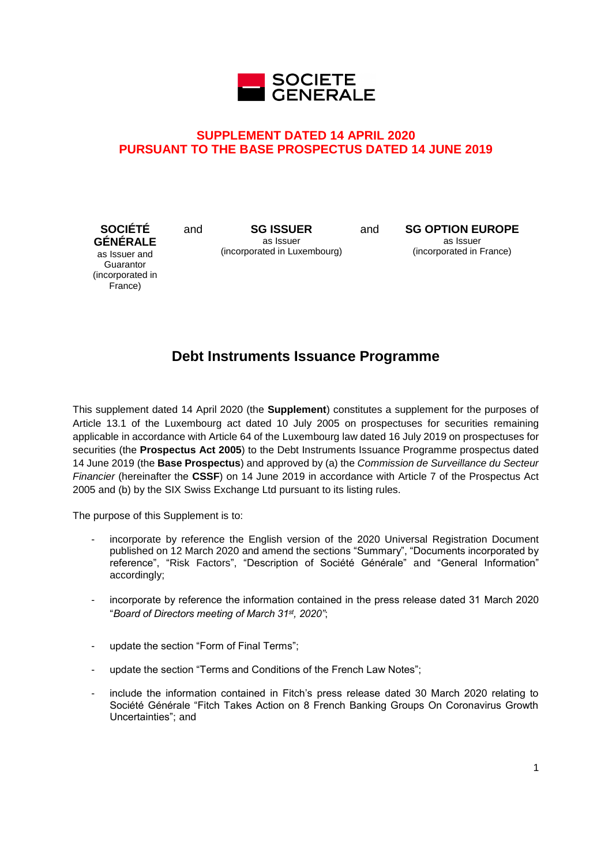

# **SUPPLEMENT DATED 14 APRIL 2020 PURSUANT TO THE BASE PROSPECTUS DATED 14 JUNE 2019**

**SOCIÉTÉ GÉNÉRALE** as Issuer and **Guarantor** (incorporated in France)

and **SG ISSUER** as Issuer (incorporated in Luxembourg) and **SG OPTION EUROPE** as Issuer (incorporated in France)

# **Debt Instruments Issuance Programme**

This supplement dated 14 April 2020 (the **Supplement**) constitutes a supplement for the purposes of Article 13.1 of the Luxembourg act dated 10 July 2005 on prospectuses for securities remaining applicable in accordance with Article 64 of the Luxembourg law dated 16 July 2019 on prospectuses for securities (the **Prospectus Act 2005**) to the Debt Instruments Issuance Programme prospectus dated 14 June 2019 (the **Base Prospectus**) and approved by (a) the *Commission de Surveillance du Secteur Financier* (hereinafter the **CSSF**) on 14 June 2019 in accordance with Article 7 of the Prospectus Act 2005 and (b) by the SIX Swiss Exchange Ltd pursuant to its listing rules.

The purpose of this Supplement is to:

- incorporate by reference the English version of the 2020 Universal Registration Document published on 12 March 2020 and amend the sections "Summary", "Documents incorporated by reference", "Risk Factors", "Description of Société Générale" and "General Information" accordingly;
- incorporate by reference the information contained in the press release dated 31 March 2020 "*Board of Directors meeting of March 31st , 2020"*;
- update the section "Form of Final Terms";
- update the section "Terms and Conditions of the French Law Notes";
- include the information contained in Fitch's press release dated 30 March 2020 relating to Société Générale "Fitch Takes Action on 8 French Banking Groups On Coronavirus Growth Uncertainties"; and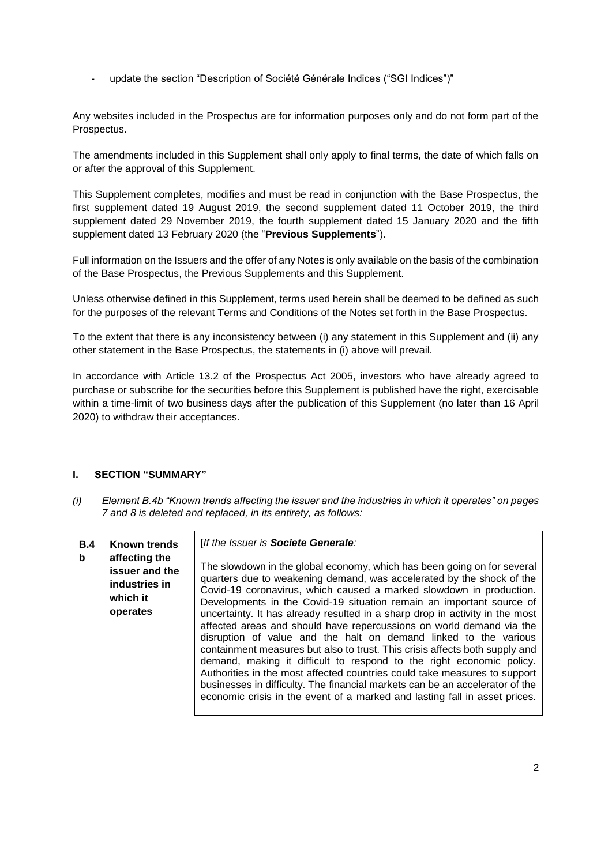update the section "Description of Société Générale Indices ("SGI Indices")"

Any websites included in the Prospectus are for information purposes only and do not form part of the Prospectus.

The amendments included in this Supplement shall only apply to final terms, the date of which falls on or after the approval of this Supplement.

This Supplement completes, modifies and must be read in conjunction with the Base Prospectus, the first supplement dated 19 August 2019, the second supplement dated 11 October 2019, the third supplement dated 29 November 2019, the fourth supplement dated 15 January 2020 and the fifth supplement dated 13 February 2020 (the "**Previous Supplements**").

Full information on the Issuers and the offer of any Notes is only available on the basis of the combination of the Base Prospectus, the Previous Supplements and this Supplement.

Unless otherwise defined in this Supplement, terms used herein shall be deemed to be defined as such for the purposes of the relevant Terms and Conditions of the Notes set forth in the Base Prospectus.

To the extent that there is any inconsistency between (i) any statement in this Supplement and (ii) any other statement in the Base Prospectus, the statements in (i) above will prevail.

In accordance with Article 13.2 of the Prospectus Act 2005, investors who have already agreed to purchase or subscribe for the securities before this Supplement is published have the right, exercisable within a time-limit of two business days after the publication of this Supplement (no later than 16 April 2020) to withdraw their acceptances.

## **I. SECTION "SUMMARY"**

*(i) Element B.4b "Known trends affecting the issuer and the industries in which it operates" on pages 7 and 8 is deleted and replaced, in its entirety, as follows:* 

| B.4<br>b | <b>Known trends</b><br>affecting the<br>issuer and the | [If the Issuer is Societe Generale:<br>The slowdown in the global economy, which has been going on for several                                                                                                                                                                                                                                                                                                                                                                                                                                                                                                                                                                                                                                                                                                                                     |
|----------|--------------------------------------------------------|----------------------------------------------------------------------------------------------------------------------------------------------------------------------------------------------------------------------------------------------------------------------------------------------------------------------------------------------------------------------------------------------------------------------------------------------------------------------------------------------------------------------------------------------------------------------------------------------------------------------------------------------------------------------------------------------------------------------------------------------------------------------------------------------------------------------------------------------------|
|          | industries in<br>which it<br>operates                  | quarters due to weakening demand, was accelerated by the shock of the<br>Covid-19 coronavirus, which caused a marked slowdown in production.<br>Developments in the Covid-19 situation remain an important source of<br>uncertainty. It has already resulted in a sharp drop in activity in the most<br>affected areas and should have repercussions on world demand via the<br>disruption of value and the halt on demand linked to the various<br>containment measures but also to trust. This crisis affects both supply and<br>demand, making it difficult to respond to the right economic policy.<br>Authorities in the most affected countries could take measures to support<br>businesses in difficulty. The financial markets can be an accelerator of the<br>economic crisis in the event of a marked and lasting fall in asset prices. |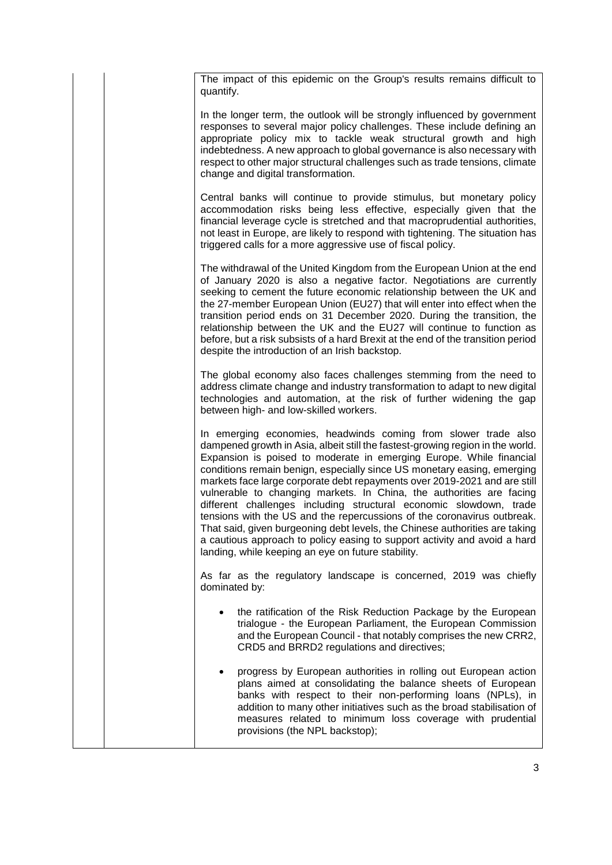The impact of this epidemic on the Group's results remains difficult to quantify.

In the longer term, the outlook will be strongly influenced by government responses to several major policy challenges. These include defining an appropriate policy mix to tackle weak structural growth and high indebtedness. A new approach to global governance is also necessary with respect to other major structural challenges such as trade tensions, climate change and digital transformation.

Central banks will continue to provide stimulus, but monetary policy accommodation risks being less effective, especially given that the financial leverage cycle is stretched and that macroprudential authorities, not least in Europe, are likely to respond with tightening. The situation has triggered calls for a more aggressive use of fiscal policy.

The withdrawal of the United Kingdom from the European Union at the end of January 2020 is also a negative factor. Negotiations are currently seeking to cement the future economic relationship between the UK and the 27-member European Union (EU27) that will enter into effect when the transition period ends on 31 December 2020. During the transition, the relationship between the UK and the EU27 will continue to function as before, but a risk subsists of a hard Brexit at the end of the transition period despite the introduction of an Irish backstop.

The global economy also faces challenges stemming from the need to address climate change and industry transformation to adapt to new digital technologies and automation, at the risk of further widening the gap between high- and low-skilled workers.

In emerging economies, headwinds coming from slower trade also dampened growth in Asia, albeit still the fastest-growing region in the world. Expansion is poised to moderate in emerging Europe. While financial conditions remain benign, especially since US monetary easing, emerging markets face large corporate debt repayments over 2019-2021 and are still vulnerable to changing markets. In China, the authorities are facing different challenges including structural economic slowdown, trade tensions with the US and the repercussions of the coronavirus outbreak. That said, given burgeoning debt levels, the Chinese authorities are taking a cautious approach to policy easing to support activity and avoid a hard landing, while keeping an eye on future stability.

As far as the regulatory landscape is concerned, 2019 was chiefly dominated by:

- the ratification of the Risk Reduction Package by the European trialogue - the European Parliament, the European Commission and the European Council - that notably comprises the new CRR2, CRD5 and BRRD2 regulations and directives;
- progress by European authorities in rolling out European action plans aimed at consolidating the balance sheets of European banks with respect to their non-performing loans (NPLs), in addition to many other initiatives such as the broad stabilisation of measures related to minimum loss coverage with prudential provisions (the NPL backstop);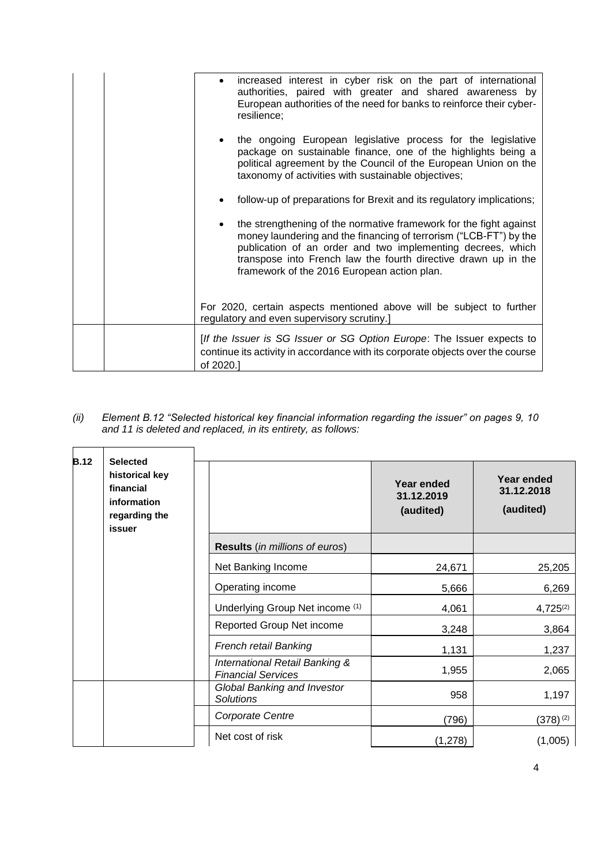| increased interest in cyber risk on the part of international<br>$\bullet$<br>authorities, paired with greater and shared awareness by<br>European authorities of the need for banks to reinforce their cyber-<br>resilience;                                                                                           |
|-------------------------------------------------------------------------------------------------------------------------------------------------------------------------------------------------------------------------------------------------------------------------------------------------------------------------|
| the ongoing European legislative process for the legislative<br>package on sustainable finance, one of the highlights being a<br>political agreement by the Council of the European Union on the<br>taxonomy of activities with sustainable objectives;                                                                 |
| follow-up of preparations for Brexit and its regulatory implications;                                                                                                                                                                                                                                                   |
| the strengthening of the normative framework for the fight against<br>money laundering and the financing of terrorism ("LCB-FT") by the<br>publication of an order and two implementing decrees, which<br>transpose into French law the fourth directive drawn up in the<br>framework of the 2016 European action plan. |
| For 2020, certain aspects mentioned above will be subject to further<br>regulatory and even supervisory scrutiny.]                                                                                                                                                                                                      |
| [If the Issuer is SG Issuer or SG Option Europe: The Issuer expects to<br>continue its activity in accordance with its corporate objects over the course<br>of 2020.]                                                                                                                                                   |

*(ii) Element B.12 "Selected historical key financial information regarding the issuer" on pages 9, 10 and 11 is deleted and replaced, in its entirety, as follows:* 

| <b>B.12</b> | <b>Selected</b><br>historical key<br>financial<br>information<br>regarding the<br>issuer |                                                             | Year ended<br>31.12.2019<br>(audited) | <b>Year ended</b><br>31.12.2018<br>(audited) |
|-------------|------------------------------------------------------------------------------------------|-------------------------------------------------------------|---------------------------------------|----------------------------------------------|
|             |                                                                                          | <b>Results</b> (in millions of euros)                       |                                       |                                              |
|             |                                                                                          | Net Banking Income                                          | 24,671                                | 25,205                                       |
|             |                                                                                          | Operating income                                            | 5,666                                 | 6,269                                        |
|             |                                                                                          | Underlying Group Net income (1)                             | 4,061                                 | $4,725^{(2)}$                                |
|             |                                                                                          | Reported Group Net income                                   | 3,248                                 | 3,864                                        |
|             |                                                                                          | French retail Banking                                       | 1,131                                 | 1,237                                        |
|             |                                                                                          | International Retail Banking &<br><b>Financial Services</b> | 1,955                                 | 2,065                                        |
|             |                                                                                          | <b>Global Banking and Investor</b><br><b>Solutions</b>      | 958                                   | 1,197                                        |
|             |                                                                                          | Corporate Centre                                            | (796)                                 | $(378)^{(2)}$                                |
|             |                                                                                          | Net cost of risk                                            | (1,278)                               | (1,005)                                      |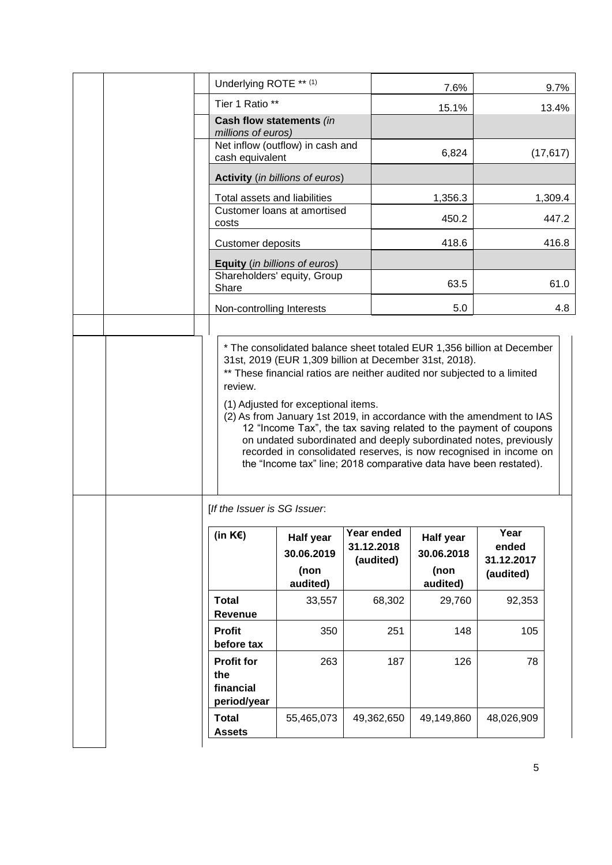|  | Underlying ROTE ** (1)                                                                                                                                                                                                                                                                                                                                                                                                                                                                                                                                                            |                                             |                                       |            | 7.6%                                               |                                          | 9.7%      |
|--|-----------------------------------------------------------------------------------------------------------------------------------------------------------------------------------------------------------------------------------------------------------------------------------------------------------------------------------------------------------------------------------------------------------------------------------------------------------------------------------------------------------------------------------------------------------------------------------|---------------------------------------------|---------------------------------------|------------|----------------------------------------------------|------------------------------------------|-----------|
|  | Tier 1 Ratio **                                                                                                                                                                                                                                                                                                                                                                                                                                                                                                                                                                   |                                             |                                       |            | 15.1%                                              |                                          | 13.4%     |
|  | Cash flow statements (in<br>millions of euros)                                                                                                                                                                                                                                                                                                                                                                                                                                                                                                                                    |                                             |                                       |            |                                                    |                                          |           |
|  | cash equivalent                                                                                                                                                                                                                                                                                                                                                                                                                                                                                                                                                                   | Net inflow (outflow) in cash and            |                                       |            | 6,824                                              |                                          | (17, 617) |
|  |                                                                                                                                                                                                                                                                                                                                                                                                                                                                                                                                                                                   | <b>Activity</b> (in billions of euros)      |                                       |            |                                                    |                                          |           |
|  | Total assets and liabilities                                                                                                                                                                                                                                                                                                                                                                                                                                                                                                                                                      |                                             |                                       |            | 1,356.3                                            |                                          | 1,309.4   |
|  | costs                                                                                                                                                                                                                                                                                                                                                                                                                                                                                                                                                                             | Customer loans at amortised                 |                                       |            | 450.2                                              |                                          | 447.2     |
|  | Customer deposits                                                                                                                                                                                                                                                                                                                                                                                                                                                                                                                                                                 |                                             |                                       |            | 418.6                                              |                                          | 416.8     |
|  | Equity (in billions of euros)                                                                                                                                                                                                                                                                                                                                                                                                                                                                                                                                                     |                                             |                                       |            |                                                    |                                          |           |
|  | Share                                                                                                                                                                                                                                                                                                                                                                                                                                                                                                                                                                             | Shareholders' equity, Group                 |                                       |            | 63.5                                               |                                          | 61.0      |
|  | Non-controlling Interests                                                                                                                                                                                                                                                                                                                                                                                                                                                                                                                                                         |                                             |                                       |            | 5.0                                                |                                          | 4.8       |
|  |                                                                                                                                                                                                                                                                                                                                                                                                                                                                                                                                                                                   |                                             |                                       |            |                                                    |                                          |           |
|  | 31st, 2019 (EUR 1,309 billion at December 31st, 2018).<br>** These financial ratios are neither audited nor subjected to a limited<br>review.<br>(1) Adjusted for exceptional items.<br>(2) As from January 1st 2019, in accordance with the amendment to IAS<br>12 "Income Tax", the tax saving related to the payment of coupons<br>on undated subordinated and deeply subordinated notes, previously<br>recorded in consolidated reserves, is now recognised in income on<br>the "Income tax" line; 2018 comparative data have been restated).<br>[If the Issuer is SG Issuer. |                                             |                                       |            |                                                    |                                          |           |
|  | (in $K \in \mathcal{E}$ )                                                                                                                                                                                                                                                                                                                                                                                                                                                                                                                                                         | Half year<br>30.06.2019<br>(non<br>audited) | Year ended<br>31.12.2018<br>(audited) |            | <b>Half year</b><br>30.06.2018<br>(non<br>audited) | Year<br>ended<br>31.12.2017<br>(audited) |           |
|  | <b>Total</b>                                                                                                                                                                                                                                                                                                                                                                                                                                                                                                                                                                      | 33,557                                      |                                       | 68,302     | 29,760                                             | 92,353                                   |           |
|  | Revenue<br><b>Profit</b><br>before tax                                                                                                                                                                                                                                                                                                                                                                                                                                                                                                                                            | 350                                         |                                       | 251        | 148                                                | 105                                      |           |
|  | <b>Profit for</b><br>the<br>financial<br>period/year                                                                                                                                                                                                                                                                                                                                                                                                                                                                                                                              | 263                                         |                                       | 187        | 126                                                | 78                                       |           |
|  | <b>Total</b><br><b>Assets</b>                                                                                                                                                                                                                                                                                                                                                                                                                                                                                                                                                     | 55,465,073                                  |                                       | 49,362,650 | 49,149,860                                         | 48,026,909                               |           |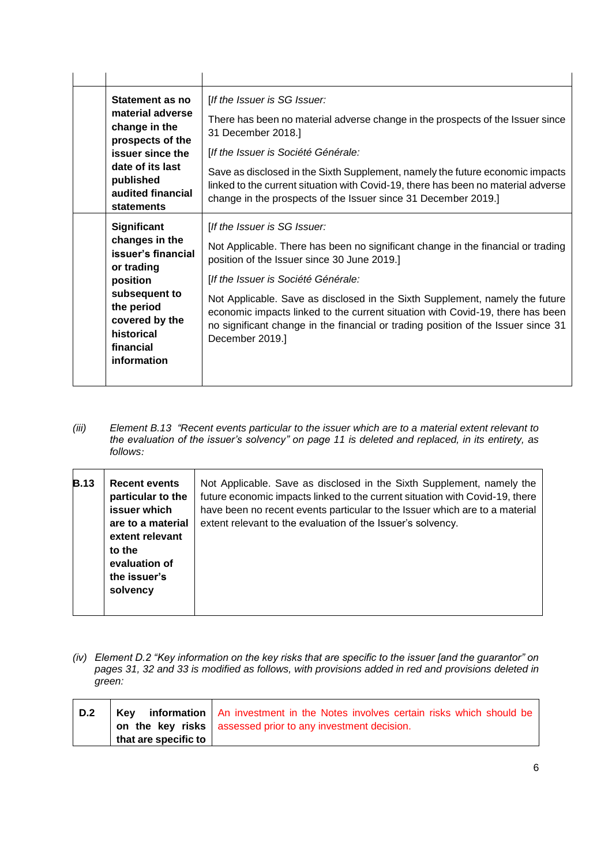| Statement as no<br>material adverse<br>change in the<br>prospects of the<br>issuer since the<br>date of its last<br>published<br>audited financial                              | [If the Issuer is SG Issuer:<br>There has been no material adverse change in the prospects of the Issuer since<br>31 December 2018.]<br>[If the Issuer is Société Générale:<br>Save as disclosed in the Sixth Supplement, namely the future economic impacts<br>linked to the current situation with Covid-19, there has been no material adverse                                                                                                                                |
|---------------------------------------------------------------------------------------------------------------------------------------------------------------------------------|----------------------------------------------------------------------------------------------------------------------------------------------------------------------------------------------------------------------------------------------------------------------------------------------------------------------------------------------------------------------------------------------------------------------------------------------------------------------------------|
| statements                                                                                                                                                                      | change in the prospects of the Issuer since 31 December 2019.]                                                                                                                                                                                                                                                                                                                                                                                                                   |
| <b>Significant</b><br>changes in the<br>issuer's financial<br>or trading<br>position<br>subsequent to<br>the period<br>covered by the<br>historical<br>financial<br>information | [If the Issuer is SG Issuer:<br>Not Applicable. There has been no significant change in the financial or trading<br>position of the Issuer since 30 June 2019.]<br>[If the Issuer is Société Générale:<br>Not Applicable. Save as disclosed in the Sixth Supplement, namely the future<br>economic impacts linked to the current situation with Covid-19, there has been<br>no significant change in the financial or trading position of the Issuer since 31<br>December 2019.] |

*(iii) Element B.13 "Recent events particular to the issuer which are to a material extent relevant to the evaluation of the issuer's solvency" on page 11 is deleted and replaced, in its entirety, as follows:* 

| <b>B.13</b> | <b>Recent events</b><br>particular to the<br>issuer which<br>are to a material<br>extent relevant<br>to the<br>evaluation of<br>the issuer's<br>solvency | Not Applicable. Save as disclosed in the Sixth Supplement, namely the<br>future economic impacts linked to the current situation with Covid-19, there<br>have been no recent events particular to the Issuer which are to a material<br>extent relevant to the evaluation of the Issuer's solvency. |
|-------------|----------------------------------------------------------------------------------------------------------------------------------------------------------|-----------------------------------------------------------------------------------------------------------------------------------------------------------------------------------------------------------------------------------------------------------------------------------------------------|
|-------------|----------------------------------------------------------------------------------------------------------------------------------------------------------|-----------------------------------------------------------------------------------------------------------------------------------------------------------------------------------------------------------------------------------------------------------------------------------------------------|

*(iv) Element D.2 "Key information on the key risks that are specific to the issuer [and the guarantor" on pages 31, 32 and 33 is modified as follows, with provisions added in red and provisions deleted in green:* 

| D.2 |                                                  | <b>Key</b> information An investment in the Notes involves certain risks which should be<br>on the key risks assessed prior to any investment decision. |
|-----|--------------------------------------------------|---------------------------------------------------------------------------------------------------------------------------------------------------------|
|     | $\frac{1}{2}$ that are specific to $\frac{1}{2}$ |                                                                                                                                                         |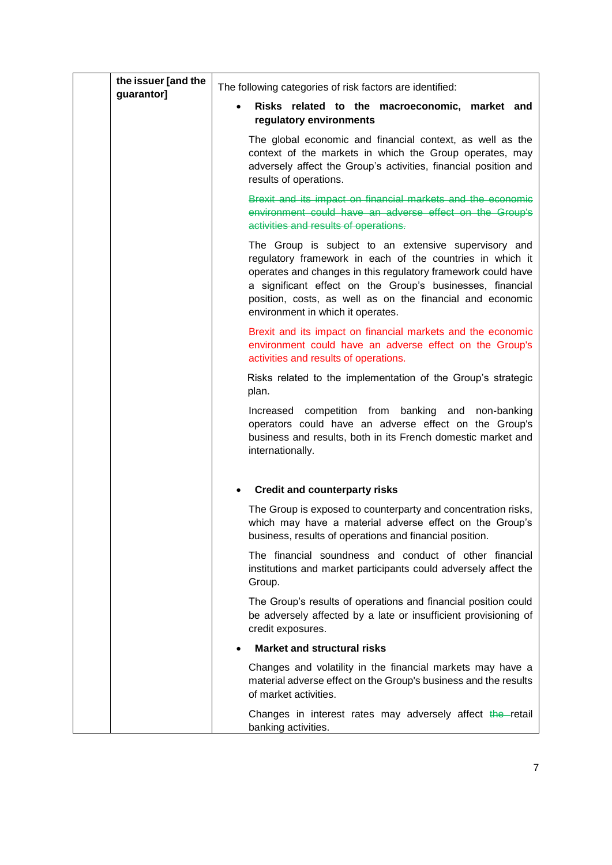| the issuer [and the<br>guarantor] | The following categories of risk factors are identified:                                                                                                                                                                                                                                                                                         |
|-----------------------------------|--------------------------------------------------------------------------------------------------------------------------------------------------------------------------------------------------------------------------------------------------------------------------------------------------------------------------------------------------|
|                                   | Risks related to the macroeconomic, market and<br>regulatory environments                                                                                                                                                                                                                                                                        |
|                                   | The global economic and financial context, as well as the<br>context of the markets in which the Group operates, may<br>adversely affect the Group's activities, financial position and<br>results of operations.                                                                                                                                |
|                                   | Brexit and its impact on financial markets and the economic<br>environment could have an adverse effect on the Group's<br>activities and results of operations.                                                                                                                                                                                  |
|                                   | The Group is subject to an extensive supervisory and<br>regulatory framework in each of the countries in which it<br>operates and changes in this regulatory framework could have<br>a significant effect on the Group's businesses, financial<br>position, costs, as well as on the financial and economic<br>environment in which it operates. |
|                                   | Brexit and its impact on financial markets and the economic<br>environment could have an adverse effect on the Group's<br>activities and results of operations.                                                                                                                                                                                  |
|                                   | Risks related to the implementation of the Group's strategic<br>plan.                                                                                                                                                                                                                                                                            |
|                                   | Increased competition from banking and non-banking<br>operators could have an adverse effect on the Group's<br>business and results, both in its French domestic market and<br>internationally.                                                                                                                                                  |
|                                   | <b>Credit and counterparty risks</b>                                                                                                                                                                                                                                                                                                             |
|                                   | The Group is exposed to counterparty and concentration risks,<br>which may have a material adverse effect on the Group's<br>business, results of operations and financial position.                                                                                                                                                              |
|                                   | The financial soundness and conduct of other financial<br>institutions and market participants could adversely affect the<br>Group.                                                                                                                                                                                                              |
|                                   | The Group's results of operations and financial position could<br>be adversely affected by a late or insufficient provisioning of<br>credit exposures.                                                                                                                                                                                           |
|                                   | <b>Market and structural risks</b><br>$\bullet$                                                                                                                                                                                                                                                                                                  |
|                                   | Changes and volatility in the financial markets may have a<br>material adverse effect on the Group's business and the results<br>of market activities.                                                                                                                                                                                           |
|                                   | Changes in interest rates may adversely affect the retail<br>banking activities.                                                                                                                                                                                                                                                                 |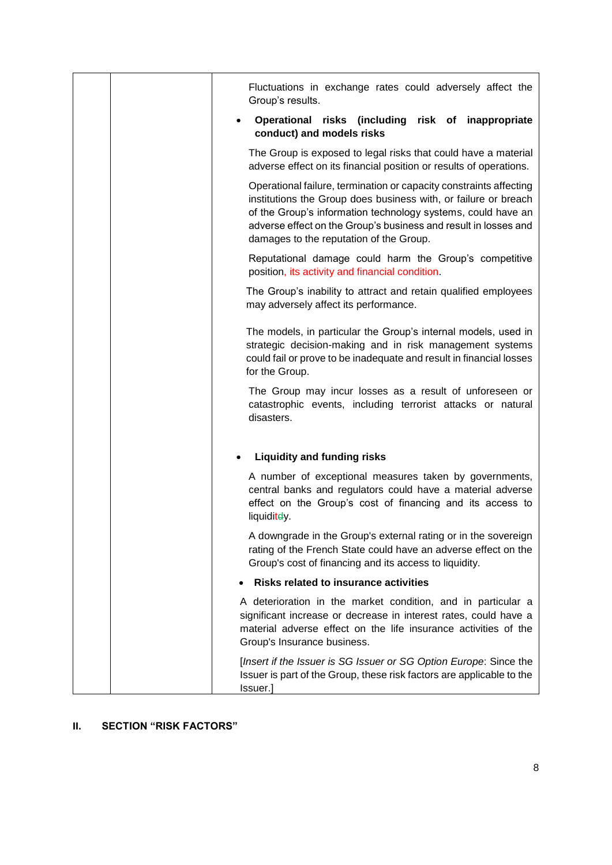| Fluctuations in exchange rates could adversely affect the<br>Group's results.                                                                                                                                                                                                                                       |
|---------------------------------------------------------------------------------------------------------------------------------------------------------------------------------------------------------------------------------------------------------------------------------------------------------------------|
| Operational risks (including risk of inappropriate<br>$\bullet$<br>conduct) and models risks                                                                                                                                                                                                                        |
| The Group is exposed to legal risks that could have a material<br>adverse effect on its financial position or results of operations.                                                                                                                                                                                |
| Operational failure, termination or capacity constraints affecting<br>institutions the Group does business with, or failure or breach<br>of the Group's information technology systems, could have an<br>adverse effect on the Group's business and result in losses and<br>damages to the reputation of the Group. |
| Reputational damage could harm the Group's competitive<br>position, its activity and financial condition.                                                                                                                                                                                                           |
| The Group's inability to attract and retain qualified employees<br>may adversely affect its performance.                                                                                                                                                                                                            |
| The models, in particular the Group's internal models, used in<br>strategic decision-making and in risk management systems<br>could fail or prove to be inadequate and result in financial losses<br>for the Group.                                                                                                 |
| The Group may incur losses as a result of unforeseen or<br>catastrophic events, including terrorist attacks or natural<br>disasters.                                                                                                                                                                                |
| <b>Liquidity and funding risks</b><br>$\bullet$                                                                                                                                                                                                                                                                     |
| A number of exceptional measures taken by governments,<br>central banks and regulators could have a material adverse<br>effect on the Group's cost of financing and its access to<br>liquiditey.                                                                                                                    |
| A downgrade in the Group's external rating or in the sovereign<br>rating of the French State could have an adverse effect on the<br>Group's cost of financing and its access to liquidity.                                                                                                                          |
| <b>Risks related to insurance activities</b>                                                                                                                                                                                                                                                                        |
| A deterioration in the market condition, and in particular a<br>significant increase or decrease in interest rates, could have a<br>material adverse effect on the life insurance activities of the<br>Group's Insurance business.                                                                                  |
| [Insert if the Issuer is SG Issuer or SG Option Europe: Since the<br>Issuer is part of the Group, these risk factors are applicable to the<br>Issuer.]                                                                                                                                                              |

## **II. SECTION "RISK FACTORS"**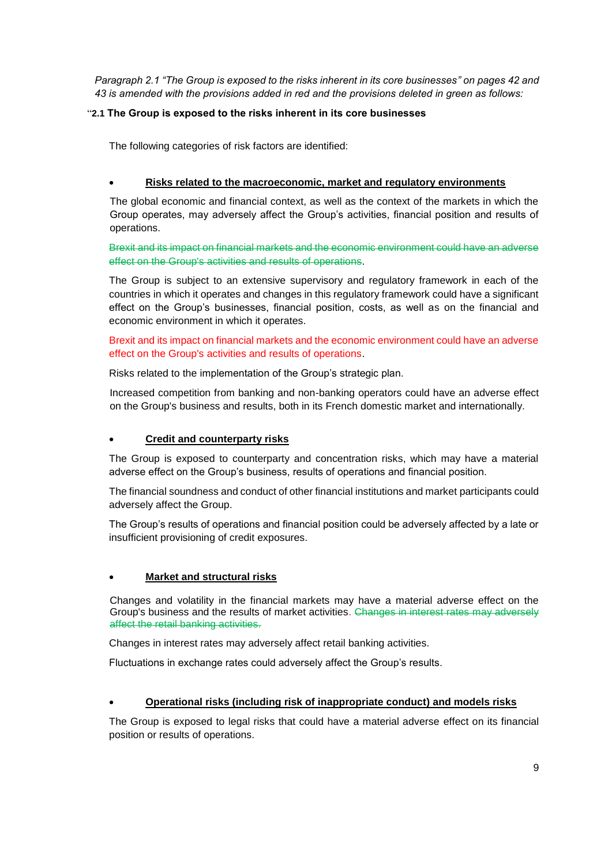*Paragraph 2.1 "The Group is exposed to the risks inherent in its core businesses" on pages 42 and 43 is amended with the provisions added in red and the provisions deleted in green as follows:*

## "**2.1 The Group is exposed to the risks inherent in its core businesses**

The following categories of risk factors are identified:

## • **Risks related to the macroeconomic, market and regulatory environments**

The global economic and financial context, as well as the context of the markets in which the Group operates, may adversely affect the Group's activities, financial position and results of operations.

Brexit and its impact on financial markets and the economic environment could have an adverse effect on the Group's activities and results of operations.

The Group is subject to an extensive supervisory and regulatory framework in each of the countries in which it operates and changes in this regulatory framework could have a significant effect on the Group's businesses, financial position, costs, as well as on the financial and economic environment in which it operates.

Brexit and its impact on financial markets and the economic environment could have an adverse effect on the Group's activities and results of operations.

Risks related to the implementation of the Group's strategic plan.

Increased competition from banking and non-banking operators could have an adverse effect on the Group's business and results, both in its French domestic market and internationally.

## • **Credit and counterparty risks**

The Group is exposed to counterparty and concentration risks, which may have a material adverse effect on the Group's business, results of operations and financial position.

The financial soundness and conduct of other financial institutions and market participants could adversely affect the Group.

The Group's results of operations and financial position could be adversely affected by a late or insufficient provisioning of credit exposures.

## • **Market and structural risks**

Changes and volatility in the financial markets may have a material adverse effect on the Group's business and the results of market activities. Changes in interest rates may adversely affect the retail banking activities.

Changes in interest rates may adversely affect retail banking activities.

Fluctuations in exchange rates could adversely affect the Group's results.

## • **Operational risks (including risk of inappropriate conduct) and models risks**

The Group is exposed to legal risks that could have a material adverse effect on its financial position or results of operations.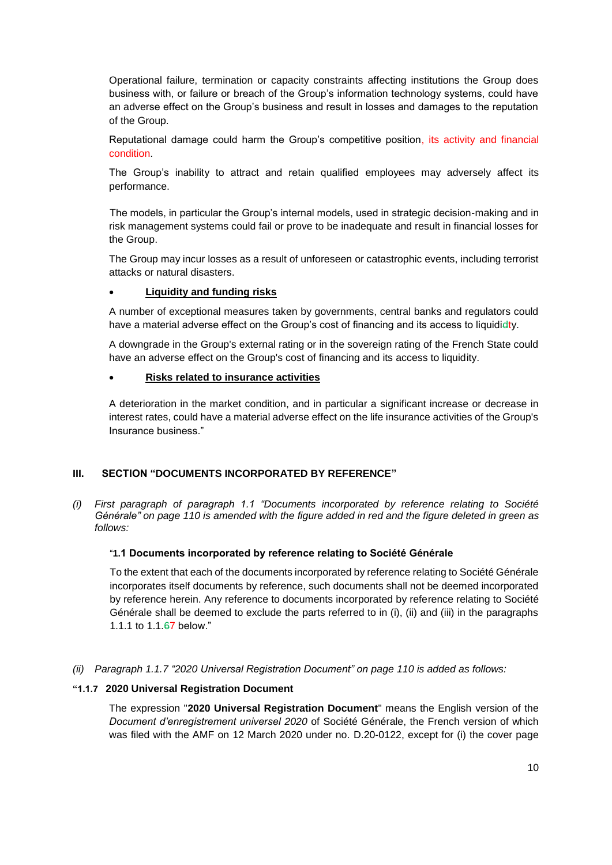Operational failure, termination or capacity constraints affecting institutions the Group does business with, or failure or breach of the Group's information technology systems, could have an adverse effect on the Group's business and result in losses and damages to the reputation of the Group.

Reputational damage could harm the Group's competitive position, its activity and financial condition.

The Group's inability to attract and retain qualified employees may adversely affect its performance.

The models, in particular the Group's internal models, used in strategic decision-making and in risk management systems could fail or prove to be inadequate and result in financial losses for the Group.

The Group may incur losses as a result of unforeseen or catastrophic events, including terrorist attacks or natural disasters.

## • **Liquidity and funding risks**

A number of exceptional measures taken by governments, central banks and regulators could have a material adverse effect on the Group's cost of financing and its access to liquididty.

A downgrade in the Group's external rating or in the sovereign rating of the French State could have an adverse effect on the Group's cost of financing and its access to liquidity.

#### • **Risks related to insurance activities**

A deterioration in the market condition, and in particular a significant increase or decrease in interest rates, could have a material adverse effect on the life insurance activities of the Group's Insurance business."

## **III. SECTION "DOCUMENTS INCORPORATED BY REFERENCE"**

*(i) First paragraph of paragraph 1.1 "Documents incorporated by reference relating to Société Générale" on page 110 is amended with the figure added in red and the figure deleted in green as follows:*

## "**1.1 Documents incorporated by reference relating to Société Générale**

To the extent that each of the documents incorporated by reference relating to Société Générale incorporates itself documents by reference, such documents shall not be deemed incorporated by reference herein. Any reference to documents incorporated by reference relating to Société Générale shall be deemed to exclude the parts referred to in (i), (ii) and (iii) in the paragraphs 1.1.1 to 1.1.67 below."

## *(ii) Paragraph 1.1.7 "2020 Universal Registration Document" on page 110 is added as follows:*

#### **"1.1.7 2020 Universal Registration Document**

The expression "**2020 Universal Registration Document**" means the English version of the *Document d'enregistrement universel 2020* of Société Générale, the French version of which was filed with the AMF on 12 March 2020 under no. D.20-0122, except for (i) the cover page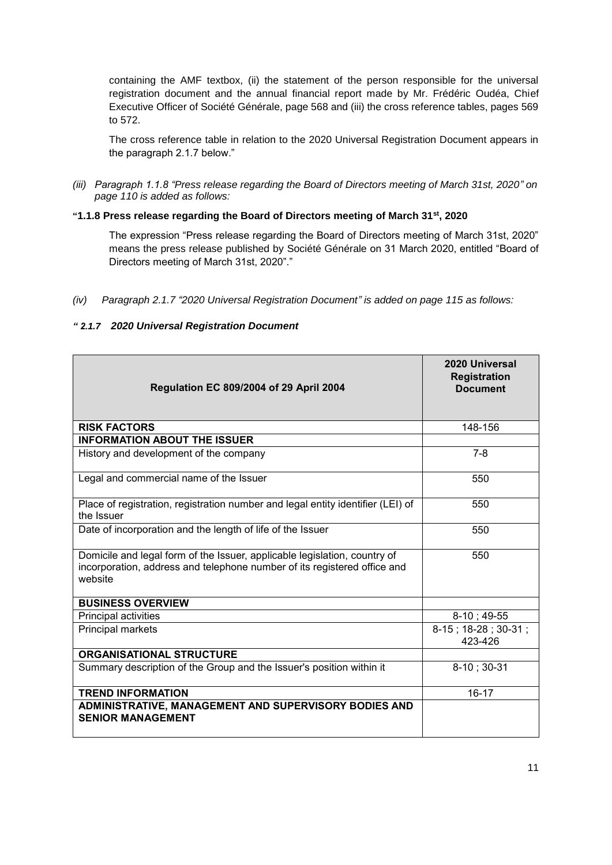containing the AMF textbox, (ii) the statement of the person responsible for the universal registration document and the annual financial report made by Mr. Frédéric Oudéa, Chief Executive Officer of Société Générale, page 568 and (iii) the cross reference tables, pages 569 to 572.

The cross reference table in relation to the 2020 Universal Registration Document appears in the paragraph 2.1.7 below."

*(iii) Paragraph 1.1.8 "Press release regarding the Board of Directors meeting of March 31st, 2020" on page 110 is added as follows:*

## **"1.1.8 Press release regarding the Board of Directors meeting of March 31st, 2020**

The expression "Press release regarding the Board of Directors meeting of March 31st, 2020" means the press release published by Société Générale on 31 March 2020, entitled "Board of Directors meeting of March 31st, 2020"."

## *" 2.1.7 2020 Universal Registration Document*

| Regulation EC 809/2004 of 29 April 2004                                                                                                                          | 2020 Universal<br><b>Registration</b><br><b>Document</b> |
|------------------------------------------------------------------------------------------------------------------------------------------------------------------|----------------------------------------------------------|
| <b>RISK FACTORS</b>                                                                                                                                              | 148-156                                                  |
| <b>INFORMATION ABOUT THE ISSUER</b>                                                                                                                              |                                                          |
| History and development of the company                                                                                                                           | $7 - 8$                                                  |
| Legal and commercial name of the Issuer                                                                                                                          | 550                                                      |
| Place of registration, registration number and legal entity identifier (LEI) of<br>the Issuer                                                                    | 550                                                      |
| Date of incorporation and the length of life of the Issuer                                                                                                       | 550                                                      |
| Domicile and legal form of the Issuer, applicable legislation, country of<br>incorporation, address and telephone number of its registered office and<br>website | 550                                                      |
| <b>BUSINESS OVERVIEW</b>                                                                                                                                         |                                                          |
| Principal activities                                                                                                                                             | $8-10; 49-55$                                            |
| Principal markets                                                                                                                                                | 8-15; 18-28; 30-31;<br>423-426                           |
| <b>ORGANISATIONAL STRUCTURE</b>                                                                                                                                  |                                                          |
| Summary description of the Group and the Issuer's position within it                                                                                             | $8-10$ ; 30-31                                           |
| <b>TREND INFORMATION</b>                                                                                                                                         | $16 - 17$                                                |
| ADMINISTRATIVE, MANAGEMENT AND SUPERVISORY BODIES AND<br><b>SENIOR MANAGEMENT</b>                                                                                |                                                          |

*<sup>(</sup>iv) Paragraph 2.1.7 "2020 Universal Registration Document" is added on page 115 as follows:*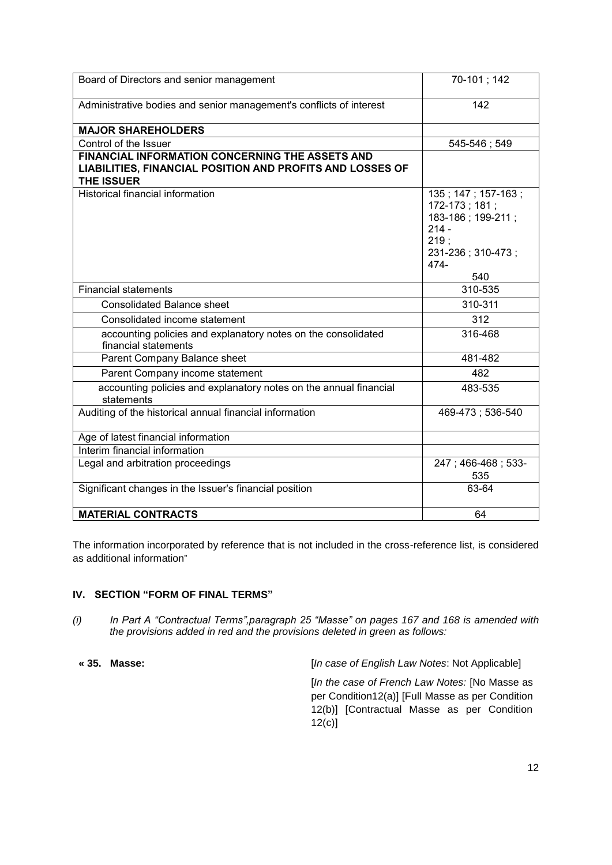| Board of Directors and senior management                                                                                                 | 70-101; 142                                                                                                     |
|------------------------------------------------------------------------------------------------------------------------------------------|-----------------------------------------------------------------------------------------------------------------|
| Administrative bodies and senior management's conflicts of interest                                                                      | 142                                                                                                             |
| <b>MAJOR SHAREHOLDERS</b>                                                                                                                |                                                                                                                 |
| Control of the Issuer                                                                                                                    | 545-546; 549                                                                                                    |
| <b>FINANCIAL INFORMATION CONCERNING THE ASSETS AND</b><br>LIABILITIES, FINANCIAL POSITION AND PROFITS AND LOSSES OF<br><b>THE ISSUER</b> |                                                                                                                 |
| <b>Historical financial information</b>                                                                                                  | 135; 147; 157-163;<br>172-173; 181;<br>183-186; 199-211;<br>$214 -$<br>219:<br>231-236; 310-473;<br>474-<br>540 |
| <b>Financial statements</b>                                                                                                              | 310-535                                                                                                         |
| <b>Consolidated Balance sheet</b>                                                                                                        | 310-311                                                                                                         |
| Consolidated income statement                                                                                                            | 312                                                                                                             |
| accounting policies and explanatory notes on the consolidated<br>financial statements                                                    | 316-468                                                                                                         |
| Parent Company Balance sheet                                                                                                             | 481-482                                                                                                         |
| Parent Company income statement                                                                                                          | 482                                                                                                             |
| accounting policies and explanatory notes on the annual financial<br>statements                                                          | 483-535                                                                                                         |
| Auditing of the historical annual financial information                                                                                  | 469-473; 536-540                                                                                                |
| Age of latest financial information                                                                                                      |                                                                                                                 |
| Interim financial information                                                                                                            |                                                                                                                 |
| Legal and arbitration proceedings                                                                                                        | 247; 466-468; 533-<br>535                                                                                       |
| Significant changes in the Issuer's financial position                                                                                   | 63-64                                                                                                           |
| <b>MATERIAL CONTRACTS</b>                                                                                                                | 64                                                                                                              |

The information incorporated by reference that is not included in the cross-reference list, is considered as additional information"

## **IV. SECTION "FORM OF FINAL TERMS"**

*(i) In Part A "Contractual Terms",paragraph 25 "Masse" on pages 167 and 168 is amended with the provisions added in red and the provisions deleted in green as follows:*

**« 35. Masse:** [*In case of English Law Notes*: Not Applicable]

[*In the case of French Law Notes:* [No Masse as per Condition12(a)] [Full Masse as per Condition 12(b)] [Contractual Masse as per Condition 12(c)]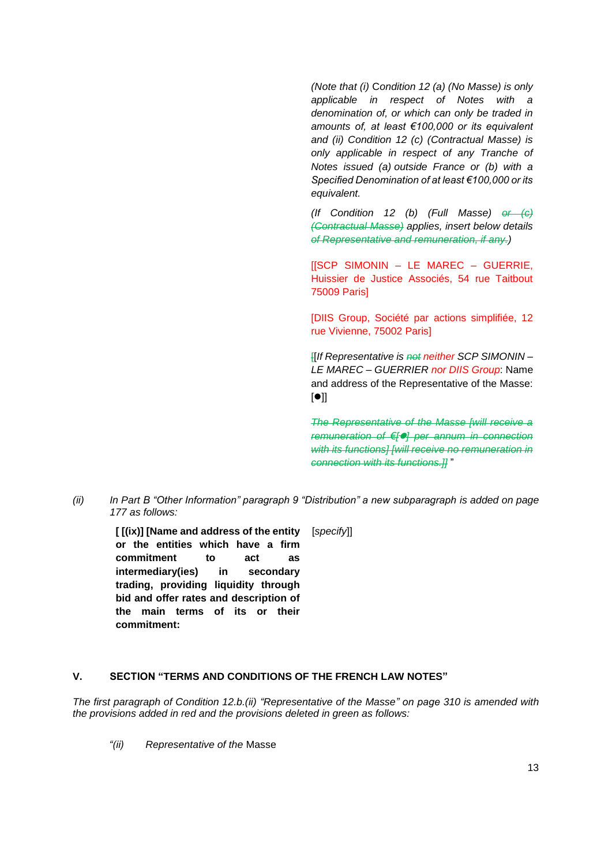*(Note that (i)* C*ondition 12 (a) (No Masse) is only applicable in respect of Notes with a denomination of, or which can only be traded in amounts of, at least €100,000 or its equivalent and (ii) Condition 12 (c) (Contractual Masse) is only applicable in respect of any Tranche of Notes issued (a) outside France or (b) with a Specified Denomination of at least €100,000 or its equivalent.*

*(If Condition 12 (b) (Full Masse) or (c) (Contractual Masse) applies, insert below details of Representative and remuneration, if any.)*

[[SCP SIMONIN – LE MAREC – GUERRIE, Huissier de Justice Associés, 54 rue Taitbout 75009 Paris]

[DIIS Group, Société par actions simplifiée, 12 rue Vivienne, 75002 Paris]

[[*If Representative is not neither SCP SIMONIN – LE MAREC – GUERRIER nor DIIS Group*: Name and address of the Representative of the Masse:  $[•]$ ]

*The Representative of the Masse [will receive a remuneration of €[*⚫*] per annum in connection with its functions] [will receive no remuneration in connection with its functions.]]* "

*(ii) In Part B "Other Information" paragraph 9 "Distribution" a new subparagraph is added on page 177 as follows:*

**[ [(ix)] [Name and address of the entity or the entities which have a firm commitment to act as intermediary(ies) in secondary trading, providing liquidity through bid and offer rates and description of the main terms of its or their commitment:**

#### [*specify*]]

## **V. SECTION "TERMS AND CONDITIONS OF THE FRENCH LAW NOTES"**

*The first paragraph of Condition 12.b.(ii) "Representative of the Masse" on page 310 is amended with the provisions added in red and the provisions deleted in green as follows:*

*"(ii) Representative of the* Masse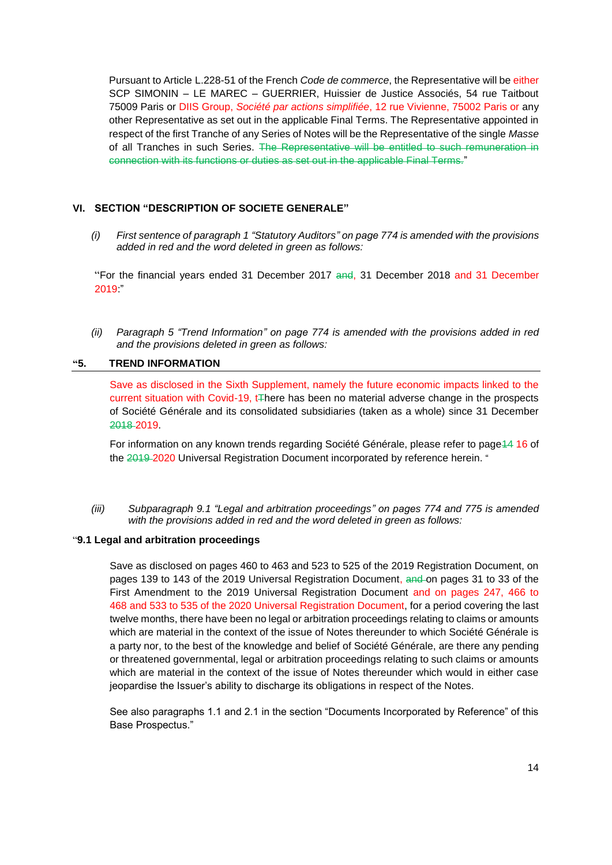Pursuant to Article L.228-51 of the French *Code de commerce*, the Representative will be either SCP SIMONIN – LE MAREC – GUERRIER, Huissier de Justice Associés, 54 rue Taitbout 75009 Paris or DIIS Group, *Société par actions simplifiée*, 12 rue Vivienne, 75002 Paris or any other Representative as set out in the applicable Final Terms. The Representative appointed in respect of the first Tranche of any Series of Notes will be the Representative of the single *Masse* of all Tranches in such Series. The Representative will be entitled to such remuneration in connection with its functions or duties as set out in the applicable Final Terms."

## **VI. SECTION "DESCRIPTION OF SOCIETE GENERALE"**

*(i) First sentence of paragraph 1 "Statutory Auditors" on page 774 is amended with the provisions added in red and the word deleted in green as follows:*

"For the financial years ended 31 December 2017 and, 31 December 2018 and 31 December 2019:"

*(ii) Paragraph 5 "Trend Information" on page 774 is amended with the provisions added in red and the provisions deleted in green as follows:*

## **"5. TREND INFORMATION**

Save as disclosed in the Sixth Supplement, namely the future economic impacts linked to the current situation with Covid-19, t<sub>There</sub> has been no material adverse change in the prospects of Société Générale and its consolidated subsidiaries (taken as a whole) since 31 December 2018 2019.

For information on any known trends regarding Société Générale, please refer to page 44 16 of the 2019-2020 Universal Registration Document incorporated by reference herein. "

*(iii) Subparagraph 9.1 "Legal and arbitration proceedings" on pages 774 and 775 is amended with the provisions added in red and the word deleted in green as follows:*

#### "**9.1 Legal and arbitration proceedings**

Save as disclosed on pages 460 to 463 and 523 to 525 of the 2019 Registration Document, on pages 139 to 143 of the 2019 Universal Registration Document, and on pages 31 to 33 of the First Amendment to the 2019 Universal Registration Document and on pages 247, 466 to 468 and 533 to 535 of the 2020 Universal Registration Document, for a period covering the last twelve months, there have been no legal or arbitration proceedings relating to claims or amounts which are material in the context of the issue of Notes thereunder to which Société Générale is a party nor, to the best of the knowledge and belief of Société Générale, are there any pending or threatened governmental, legal or arbitration proceedings relating to such claims or amounts which are material in the context of the issue of Notes thereunder which would in either case jeopardise the Issuer's ability to discharge its obligations in respect of the Notes.

See also paragraphs 1.1 and 2.1 in the section "Documents Incorporated by Reference" of this Base Prospectus."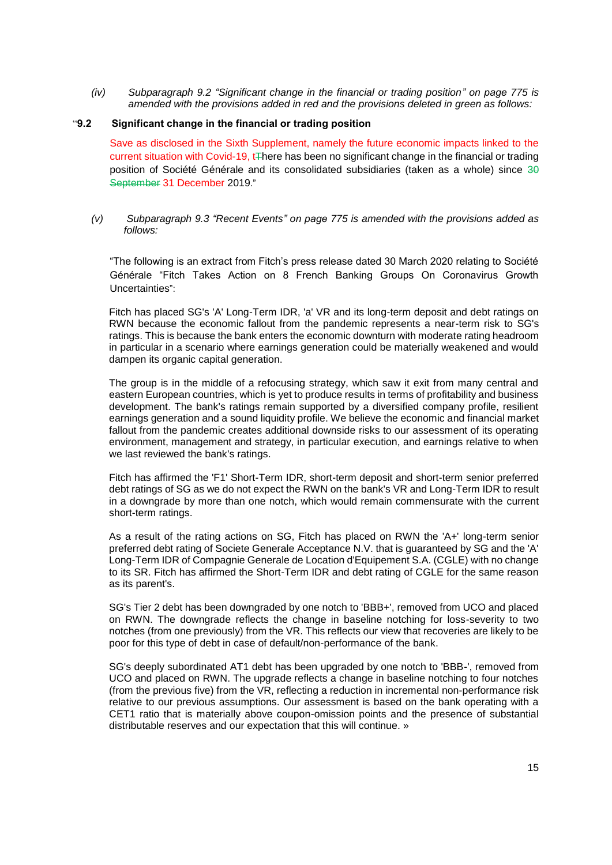*(iv) Subparagraph 9.2 "Significant change in the financial or trading position" on page 775 is amended with the provisions added in red and the provisions deleted in green as follows:*

#### "**9.2 Significant change in the financial or trading position**

Save as disclosed in the Sixth Supplement, namely the future economic impacts linked to the current situation with Covid-19,  $t$ There has been no significant change in the financial or trading position of Société Générale and its consolidated subsidiaries (taken as a whole) since 30 September 31 December 2019."

#### *(v) Subparagraph 9.3 "Recent Events" on page 775 is amended with the provisions added as follows:*

"The following is an extract from Fitch's press release dated 30 March 2020 relating to Société Générale "Fitch Takes Action on 8 French Banking Groups On Coronavirus Growth Uncertainties":

Fitch has placed SG's 'A' Long-Term IDR, 'a' VR and its long-term deposit and debt ratings on RWN because the economic fallout from the pandemic represents a near-term risk to SG's ratings. This is because the bank enters the economic downturn with moderate rating headroom in particular in a scenario where earnings generation could be materially weakened and would dampen its organic capital generation.

The group is in the middle of a refocusing strategy, which saw it exit from many central and eastern European countries, which is yet to produce results in terms of profitability and business development. The bank's ratings remain supported by a diversified company profile, resilient earnings generation and a sound liquidity profile. We believe the economic and financial market fallout from the pandemic creates additional downside risks to our assessment of its operating environment, management and strategy, in particular execution, and earnings relative to when we last reviewed the bank's ratings.

Fitch has affirmed the 'F1' Short-Term IDR, short-term deposit and short-term senior preferred debt ratings of SG as we do not expect the RWN on the bank's VR and Long-Term IDR to result in a downgrade by more than one notch, which would remain commensurate with the current short-term ratings.

As a result of the rating actions on SG, Fitch has placed on RWN the 'A+' long-term senior preferred debt rating of Societe Generale Acceptance N.V. that is guaranteed by SG and the 'A' Long-Term IDR of Compagnie Generale de Location d'Equipement S.A. (CGLE) with no change to its SR. Fitch has affirmed the Short-Term IDR and debt rating of CGLE for the same reason as its parent's.

SG's Tier 2 debt has been downgraded by one notch to 'BBB+', removed from UCO and placed on RWN. The downgrade reflects the change in baseline notching for loss-severity to two notches (from one previously) from the VR. This reflects our view that recoveries are likely to be poor for this type of debt in case of default/non-performance of the bank.

SG's deeply subordinated AT1 debt has been upgraded by one notch to 'BBB-', removed from UCO and placed on RWN. The upgrade reflects a change in baseline notching to four notches (from the previous five) from the VR, reflecting a reduction in incremental non-performance risk relative to our previous assumptions. Our assessment is based on the bank operating with a CET1 ratio that is materially above coupon-omission points and the presence of substantial distributable reserves and our expectation that this will continue. »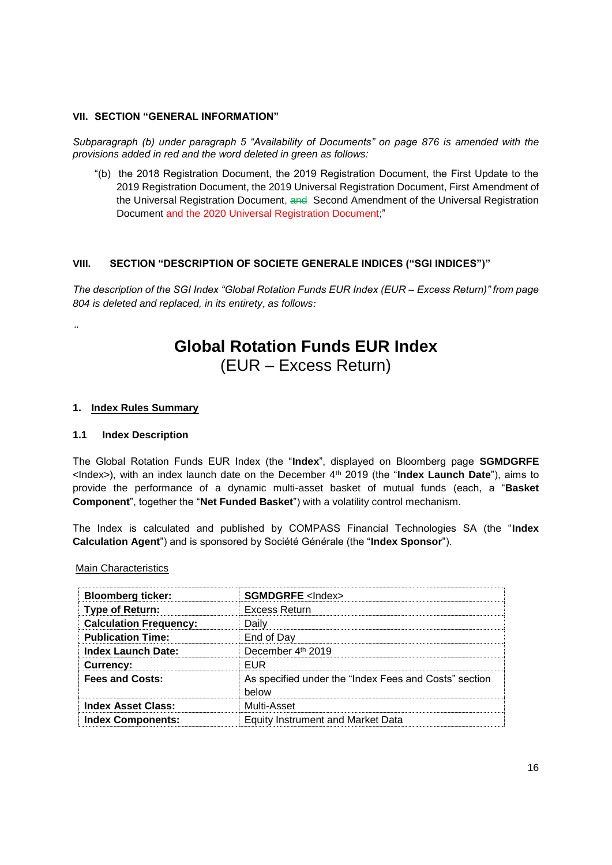### **VII. SECTION "GENERAL INFORMATION"**

*Subparagraph (b) under paragraph 5 "Availability of Documents" on page 876 is amended with the provisions added in red and the word deleted in green as follows:*

"(b) the 2018 Registration Document, the 2019 Registration Document, the First Update to the 2019 Registration Document, the 2019 Universal Registration Document, First Amendment of the Universal Registration Document, and Second Amendment of the Universal Registration Document and the 2020 Universal Registration Document;"

## **VIII. SECTION "DESCRIPTION OF SOCIETE GENERALE INDICES ("SGI INDICES")"**

*The description of the SGI Index "Global Rotation Funds EUR Index (EUR – Excess Return)" from page 804 is deleted and replaced, in its entirety, as follows:*

# **Global Rotation Funds EUR Index** (EUR – Excess Return)

### **1. Index Rules Summary**

#### **1.1 Index Description**

*"*

The Global Rotation Funds EUR Index (the "**Index**", displayed on Bloomberg page **SGMDGRFE** <Index>), with an index launch date on the December 4th 2019 (the "**Index Launch Date**"), aims to provide the performance of a dynamic multi-asset basket of mutual funds (each, a "**Basket Component**", together the "**Net Funded Basket**") with a volatility control mechanism.

The Index is calculated and published by COMPASS Financial Technologies SA (the "**Index Calculation Agent**") and is sponsored by Société Générale (the "**Index Sponsor**").

Main Characteristics

| <b>Bloomberg ticker:</b>      | <b>SGMDGRFE</b> <lndex></lndex>                                |
|-------------------------------|----------------------------------------------------------------|
| Type of Return:               | Excess Return                                                  |
| <b>Calculation Frequency:</b> | Dailv                                                          |
| <b>Publication Time:</b>      | End of Day                                                     |
| Index Launch Date:            | December 4th 2019                                              |
| <b>Currency:</b>              | <b>FUR</b>                                                     |
| <b>Fees and Costs:</b>        | As specified under the "Index Fees and Costs" section<br>helow |
| <b>Index Asset Class:</b>     | Multi-Asset                                                    |
| <b>Index Components:</b>      | Equity Instrument and Market Data                              |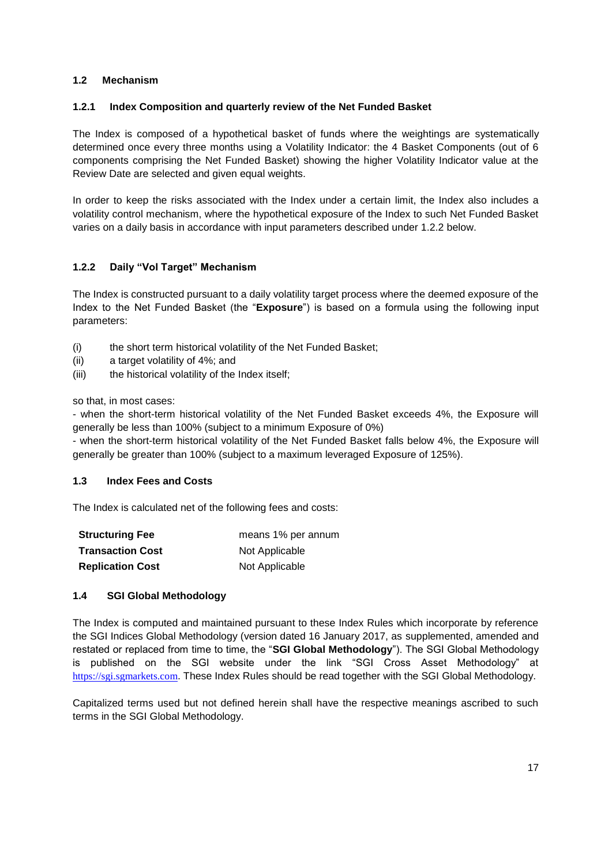## **1.2 Mechanism**

## **1.2.1 Index Composition and quarterly review of the Net Funded Basket**

The Index is composed of a hypothetical basket of funds where the weightings are systematically determined once every three months using a Volatility Indicator: the 4 Basket Components (out of 6 components comprising the Net Funded Basket) showing the higher Volatility Indicator value at the Review Date are selected and given equal weights.

In order to keep the risks associated with the Index under a certain limit, the Index also includes a volatility control mechanism, where the hypothetical exposure of the Index to such Net Funded Basket varies on a daily basis in accordance with input parameters described under 1.2.2 below.

## **1.2.2 Daily "Vol Target" Mechanism**

The Index is constructed pursuant to a daily volatility target process where the deemed exposure of the Index to the Net Funded Basket (the "**Exposure**") is based on a formula using the following input parameters:

- (i) the short term historical volatility of the Net Funded Basket;
- (ii) a target volatility of 4%; and
- (iii) the historical volatility of the Index itself;

so that, in most cases:

- when the short-term historical volatility of the Net Funded Basket exceeds 4%, the Exposure will generally be less than 100% (subject to a minimum Exposure of 0%)

- when the short-term historical volatility of the Net Funded Basket falls below 4%, the Exposure will generally be greater than 100% (subject to a maximum leveraged Exposure of 125%).

#### **1.3 Index Fees and Costs**

The Index is calculated net of the following fees and costs:

| <b>Structuring Fee</b>  | means 1% per annum |  |
|-------------------------|--------------------|--|
| <b>Transaction Cost</b> | Not Applicable     |  |
| <b>Replication Cost</b> | Not Applicable     |  |

## **1.4 SGI Global Methodology**

The Index is computed and maintained pursuant to these Index Rules which incorporate by reference the SGI Indices Global Methodology (version dated 16 January 2017, as supplemented, amended and restated or replaced from time to time, the "**SGI Global Methodology**"). The SGI Global Methodology is published on the SGI website under the link "SGI Cross Asset Methodology" at [https://sgi.sgmarkets.com](https://sgi.sgmarkets.com/). These Index Rules should be read together with the SGI Global Methodology.

Capitalized terms used but not defined herein shall have the respective meanings ascribed to such terms in the SGI Global Methodology.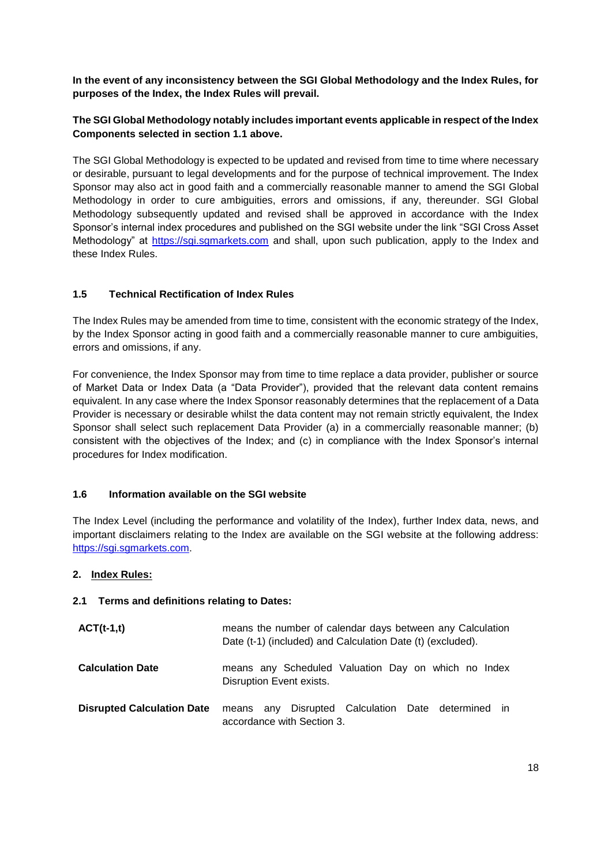**In the event of any inconsistency between the SGI Global Methodology and the Index Rules, for purposes of the Index, the Index Rules will prevail.**

## **The SGI Global Methodology notably includes important events applicable in respect of the Index Components selected in section 1.1 above.**

The SGI Global Methodology is expected to be updated and revised from time to time where necessary or desirable, pursuant to legal developments and for the purpose of technical improvement. The Index Sponsor may also act in good faith and a commercially reasonable manner to amend the SGI Global Methodology in order to cure ambiguities, errors and omissions, if any, thereunder. SGI Global Methodology subsequently updated and revised shall be approved in accordance with the Index Sponsor's internal index procedures and published on the SGI website under the link "SGI Cross Asset Methodology" at [https://sgi.sgmarkets.com](https://sgi.sgmarkets.com/) and shall, upon such publication, apply to the Index and these Index Rules.

## **1.5 Technical Rectification of Index Rules**

The Index Rules may be amended from time to time, consistent with the economic strategy of the Index, by the Index Sponsor acting in good faith and a commercially reasonable manner to cure ambiguities, errors and omissions, if any.

For convenience, the Index Sponsor may from time to time replace a data provider, publisher or source of Market Data or Index Data (a "Data Provider"), provided that the relevant data content remains equivalent. In any case where the Index Sponsor reasonably determines that the replacement of a Data Provider is necessary or desirable whilst the data content may not remain strictly equivalent, the Index Sponsor shall select such replacement Data Provider (a) in a commercially reasonable manner; (b) consistent with the objectives of the Index; and (c) in compliance with the Index Sponsor's internal procedures for Index modification.

## **1.6 Information available on the SGI website**

The Index Level (including the performance and volatility of the Index), further Index data, news, and important disclaimers relating to the Index are available on the SGI website at the following address: [https://sgi.sgmarkets.com](https://sgi.sgmarkets.com/).

## **2. Index Rules:**

## **2.1 Terms and definitions relating to Dates:**

| $ACT(t-1,t)$                      | means the number of calendar days between any Calculation<br>Date (t-1) (included) and Calculation Date (t) (excluded). |  |  |  |
|-----------------------------------|-------------------------------------------------------------------------------------------------------------------------|--|--|--|
| <b>Calculation Date</b>           | means any Scheduled Valuation Day on which no Index<br>Disruption Event exists.                                         |  |  |  |
| <b>Disrupted Calculation Date</b> | means any Disrupted Calculation Date determined in<br>accordance with Section 3.                                        |  |  |  |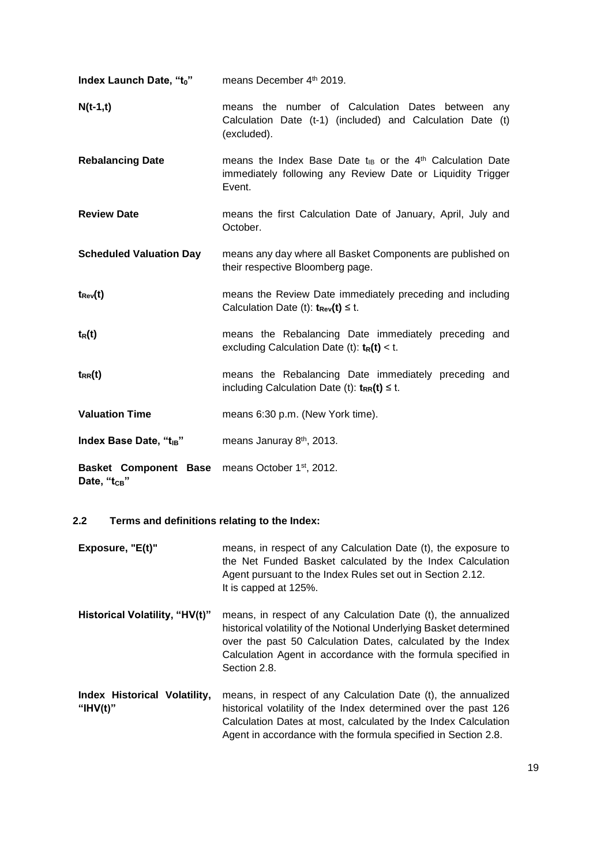| Index Launch Date, "to"                                                                 | means December 4th 2019.                                                                                                                        |  |  |  |
|-----------------------------------------------------------------------------------------|-------------------------------------------------------------------------------------------------------------------------------------------------|--|--|--|
| $N(t-1,t)$                                                                              | means the number of Calculation Dates between any<br>Calculation Date (t-1) (included) and Calculation Date (t)<br>(excluded).                  |  |  |  |
| <b>Rebalancing Date</b>                                                                 | means the Index Base Date t <sub>IB</sub> or the $4th$ Calculation Date<br>immediately following any Review Date or Liquidity Trigger<br>Event. |  |  |  |
| <b>Review Date</b>                                                                      | means the first Calculation Date of January, April, July and<br>October.                                                                        |  |  |  |
| <b>Scheduled Valuation Day</b>                                                          | means any day where all Basket Components are published on<br>their respective Bloomberg page.                                                  |  |  |  |
| $t_{\rm Rev}(t)$                                                                        | means the Review Date immediately preceding and including<br>Calculation Date (t): $t_{Rev}(t) \leq t$ .                                        |  |  |  |
| $t_R(t)$                                                                                | means the Rebalancing Date immediately preceding and<br>excluding Calculation Date (t): $t_R(t) < t$ .                                          |  |  |  |
| $t_{RR}(t)$                                                                             | means the Rebalancing Date immediately preceding and<br>including Calculation Date (t): $t_{RR}(t) \leq t$ .                                    |  |  |  |
| <b>Valuation Time</b>                                                                   | means 6:30 p.m. (New York time).                                                                                                                |  |  |  |
| Index Base Date, "t <sub>IB</sub> "                                                     | means Januray 8th, 2013.                                                                                                                        |  |  |  |
| Basket Component Base means October 1 <sup>st</sup> , 2012.<br>Date, "t <sub>CB</sub> " |                                                                                                                                                 |  |  |  |

# **2.2 Terms and definitions relating to the Index:**

| Exposure, "E(t)"                            | means, in respect of any Calculation Date (t), the exposure to<br>the Net Funded Basket calculated by the Index Calculation<br>Agent pursuant to the Index Rules set out in Section 2.12.<br>It is capped at 125%.                                                                  |  |
|---------------------------------------------|-------------------------------------------------------------------------------------------------------------------------------------------------------------------------------------------------------------------------------------------------------------------------------------|--|
| Historical Volatility, "HV(t)"              | means, in respect of any Calculation Date (t), the annualized<br>historical volatility of the Notional Underlying Basket determined<br>over the past 50 Calculation Dates, calculated by the Index<br>Calculation Agent in accordance with the formula specified in<br>Section 2.8. |  |
| Index Historical Volatility,<br>" $HV(t)$ " | means, in respect of any Calculation Date (t), the annualized<br>historical volatility of the Index determined over the past 126<br>Calculation Dates at most, calculated by the Index Calculation<br>Agent in accordance with the formula specified in Section 2.8.                |  |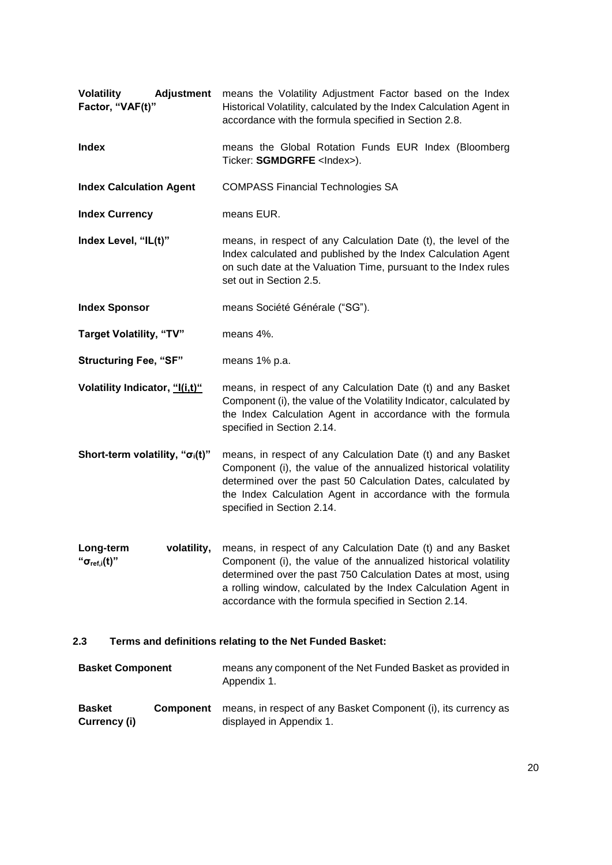| <b>Adjustment</b><br><b>Volatility</b><br>Factor, "VAF(t)"      | means the Volatility Adjustment Factor based on the Index<br>Historical Volatility, calculated by the Index Calculation Agent in<br>accordance with the formula specified in Section 2.8.                                                                                                                                     |  |  |
|-----------------------------------------------------------------|-------------------------------------------------------------------------------------------------------------------------------------------------------------------------------------------------------------------------------------------------------------------------------------------------------------------------------|--|--|
| <b>Index</b>                                                    | means the Global Rotation Funds EUR Index (Bloomberg<br>Ticker: SGMDGRFE <lndex>).</lndex>                                                                                                                                                                                                                                    |  |  |
| <b>Index Calculation Agent</b>                                  | <b>COMPASS Financial Technologies SA</b>                                                                                                                                                                                                                                                                                      |  |  |
| <b>Index Currency</b>                                           | means EUR.                                                                                                                                                                                                                                                                                                                    |  |  |
| Index Level, "IL(t)"                                            | means, in respect of any Calculation Date (t), the level of the<br>Index calculated and published by the Index Calculation Agent<br>on such date at the Valuation Time, pursuant to the Index rules<br>set out in Section 2.5.                                                                                                |  |  |
| <b>Index Sponsor</b>                                            | means Société Générale ("SG").                                                                                                                                                                                                                                                                                                |  |  |
| <b>Target Volatility, "TV"</b>                                  | means 4%.                                                                                                                                                                                                                                                                                                                     |  |  |
| <b>Structuring Fee, "SF"</b>                                    | means 1% p.a.                                                                                                                                                                                                                                                                                                                 |  |  |
| Volatility Indicator, "I(i,t)"                                  | means, in respect of any Calculation Date (t) and any Basket<br>Component (i), the value of the Volatility Indicator, calculated by<br>the Index Calculation Agent in accordance with the formula<br>specified in Section 2.14.                                                                                               |  |  |
| Short-term volatility, " $\sigma_i(t)$ "                        | means, in respect of any Calculation Date (t) and any Basket<br>Component (i), the value of the annualized historical volatility<br>determined over the past 50 Calculation Dates, calculated by<br>the Index Calculation Agent in accordance with the formula<br>specified in Section 2.14.                                  |  |  |
| volatility,<br>Long-term<br>" $\sigma_{\text{ref,i}}(t)$ "      | means, in respect of any Calculation Date (t) and any Basket<br>Component (i), the value of the annualized historical volatility<br>determined over the past 750 Calculation Dates at most, using<br>a rolling window, calculated by the Index Calculation Agent in<br>accordance with the formula specified in Section 2.14. |  |  |
| Terms and definitions relating to the Net Funded Basket:<br>2.3 |                                                                                                                                                                                                                                                                                                                               |  |  |

| <b>Basket Component</b>       |                  | means any component of the Net Funded Basket as provided in<br>Appendix 1.                 |
|-------------------------------|------------------|--------------------------------------------------------------------------------------------|
| <b>Basket</b><br>Currency (i) | <b>Component</b> | means, in respect of any Basket Component (i), its currency as<br>displayed in Appendix 1. |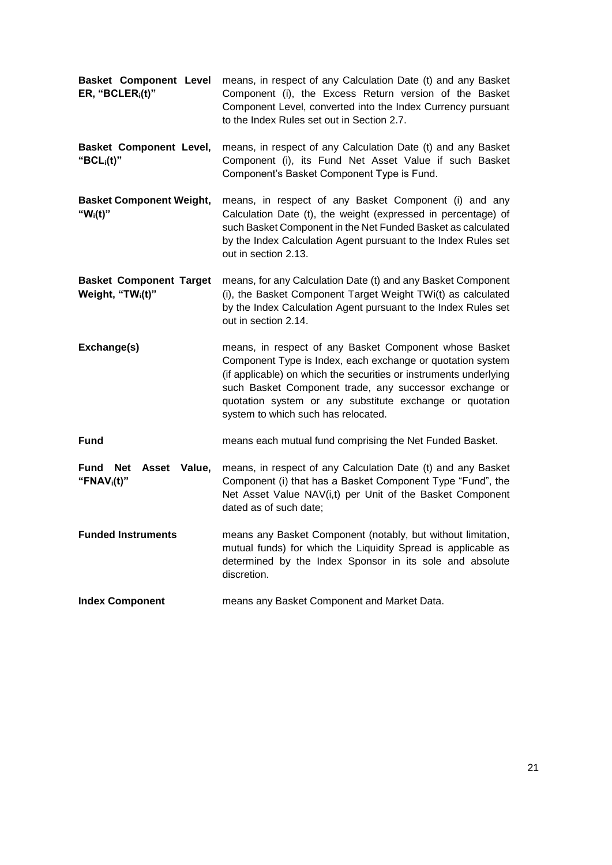| <b>Basket Component Level</b><br>ER, "BCLER $_i(t)$ "           | means, in respect of any Calculation Date (t) and any Basket<br>Component (i), the Excess Return version of the Basket<br>Component Level, converted into the Index Currency pursuant<br>to the Index Rules set out in Section 2.7.                                                                                                                    |  |  |
|-----------------------------------------------------------------|--------------------------------------------------------------------------------------------------------------------------------------------------------------------------------------------------------------------------------------------------------------------------------------------------------------------------------------------------------|--|--|
| <b>Basket Component Level,</b><br>" $BCL_i(t)$ "                | means, in respect of any Calculation Date (t) and any Basket<br>Component (i), its Fund Net Asset Value if such Basket<br>Component's Basket Component Type is Fund.                                                                                                                                                                                   |  |  |
| <b>Basket Component Weight,</b><br>" $W_i(t)$ "                 | means, in respect of any Basket Component (i) and any<br>Calculation Date (t), the weight (expressed in percentage) of<br>such Basket Component in the Net Funded Basket as calculated<br>by the Index Calculation Agent pursuant to the Index Rules set<br>out in section 2.13.                                                                       |  |  |
| <b>Basket Component Target</b><br>Weight, "TW <sub>i</sub> (t)" | means, for any Calculation Date (t) and any Basket Component<br>(i), the Basket Component Target Weight TWi(t) as calculated<br>by the Index Calculation Agent pursuant to the Index Rules set<br>out in section 2.14.                                                                                                                                 |  |  |
| Exchange(s)                                                     | means, in respect of any Basket Component whose Basket<br>Component Type is Index, each exchange or quotation system<br>(if applicable) on which the securities or instruments underlying<br>such Basket Component trade, any successor exchange or<br>quotation system or any substitute exchange or quotation<br>system to which such has relocated. |  |  |
| <b>Fund</b>                                                     | means each mutual fund comprising the Net Funded Basket.                                                                                                                                                                                                                                                                                               |  |  |
| <b>Fund</b><br>Net Asset<br>Value,<br>"FNA $V_i(t)$ "           | means, in respect of any Calculation Date (t) and any Basket<br>Component (i) that has a Basket Component Type "Fund", the<br>Net Asset Value NAV(i,t) per Unit of the Basket Component<br>dated as of such date;                                                                                                                                      |  |  |
| <b>Funded Instruments</b>                                       | means any Basket Component (notably, but without limitation,<br>mutual funds) for which the Liquidity Spread is applicable as<br>determined by the Index Sponsor in its sole and absolute<br>discretion.                                                                                                                                               |  |  |
| <b>Index Component</b>                                          | means any Basket Component and Market Data.                                                                                                                                                                                                                                                                                                            |  |  |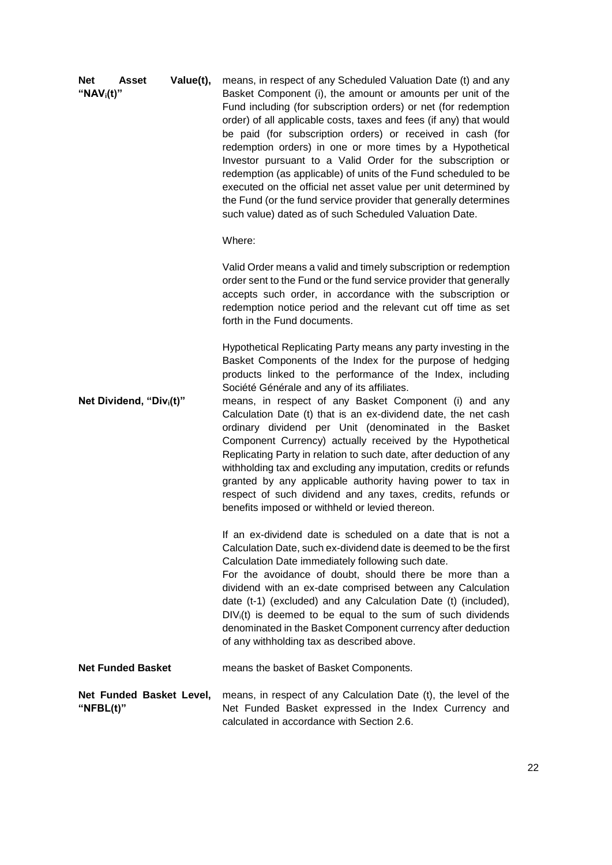| <b>Net</b><br>" $NAV_i(t)$ " | Asset                                | Value(t), | means, in respect of any Scheduled Valuation Date (t) and any<br>Basket Component (i), the amount or amounts per unit of the<br>Fund including (for subscription orders) or net (for redemption<br>order) of all applicable costs, taxes and fees (if any) that would<br>be paid (for subscription orders) or received in cash (for<br>redemption orders) in one or more times by a Hypothetical<br>Investor pursuant to a Valid Order for the subscription or<br>redemption (as applicable) of units of the Fund scheduled to be<br>executed on the official net asset value per unit determined by<br>the Fund (or the fund service provider that generally determines<br>such value) dated as of such Scheduled Valuation Date.<br>Where:                                                                         |
|------------------------------|--------------------------------------|-----------|----------------------------------------------------------------------------------------------------------------------------------------------------------------------------------------------------------------------------------------------------------------------------------------------------------------------------------------------------------------------------------------------------------------------------------------------------------------------------------------------------------------------------------------------------------------------------------------------------------------------------------------------------------------------------------------------------------------------------------------------------------------------------------------------------------------------|
|                              |                                      |           | Valid Order means a valid and timely subscription or redemption<br>order sent to the Fund or the fund service provider that generally<br>accepts such order, in accordance with the subscription or<br>redemption notice period and the relevant cut off time as set<br>forth in the Fund documents.                                                                                                                                                                                                                                                                                                                                                                                                                                                                                                                 |
|                              | Net Dividend, "Div <sub>i</sub> (t)" |           | Hypothetical Replicating Party means any party investing in the<br>Basket Components of the Index for the purpose of hedging<br>products linked to the performance of the Index, including<br>Société Générale and any of its affiliates.<br>means, in respect of any Basket Component (i) and any<br>Calculation Date (t) that is an ex-dividend date, the net cash<br>ordinary dividend per Unit (denominated in the Basket<br>Component Currency) actually received by the Hypothetical<br>Replicating Party in relation to such date, after deduction of any<br>withholding tax and excluding any imputation, credits or refunds<br>granted by any applicable authority having power to tax in<br>respect of such dividend and any taxes, credits, refunds or<br>benefits imposed or withheld or levied thereon. |
|                              |                                      |           | If an ex-dividend date is scheduled on a date that is not a<br>Calculation Date, such ex-dividend date is deemed to be the first<br>Calculation Date immediately following such date.<br>For the avoidance of doubt, should there be more than a<br>dividend with an ex-date comprised between any Calculation<br>date (t-1) (excluded) and any Calculation Date (t) (included),<br>$DIV_i(t)$ is deemed to be equal to the sum of such dividends<br>denominated in the Basket Component currency after deduction<br>of any withholding tax as described above.                                                                                                                                                                                                                                                      |
|                              | <b>Net Funded Basket</b>             |           | means the basket of Basket Components.                                                                                                                                                                                                                                                                                                                                                                                                                                                                                                                                                                                                                                                                                                                                                                               |
| " $NFBL(t)$ "                | Net Funded Basket Level,             |           | means, in respect of any Calculation Date (t), the level of the<br>Net Funded Basket expressed in the Index Currency and<br>calculated in accordance with Section 2.6.                                                                                                                                                                                                                                                                                                                                                                                                                                                                                                                                                                                                                                               |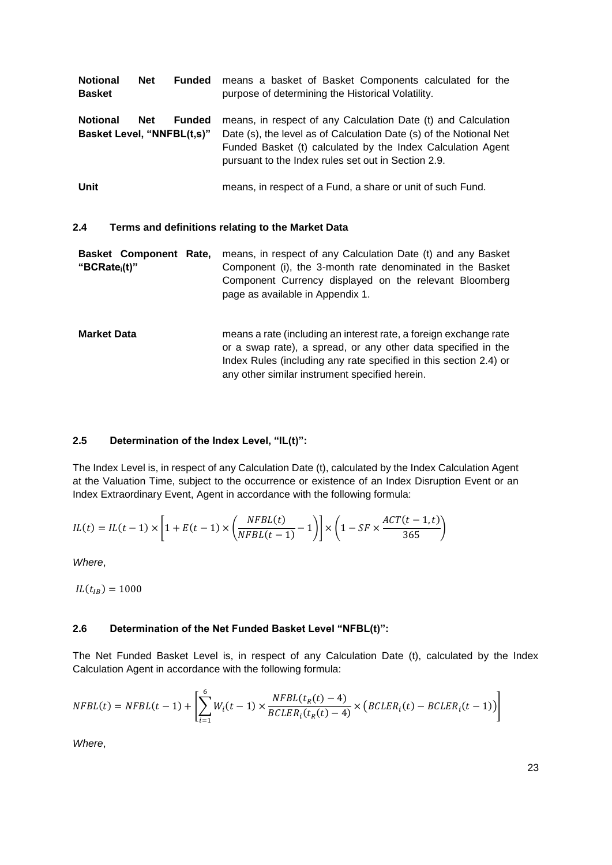| <b>Notional</b><br><b>Basket</b>                                             | <b>Net</b> | <b>Funded</b> | means a basket of Basket Components calculated for the<br>purpose of determining the Historical Volatility.                                                                                                                                               |  |
|------------------------------------------------------------------------------|------------|---------------|-----------------------------------------------------------------------------------------------------------------------------------------------------------------------------------------------------------------------------------------------------------|--|
| <b>Notional</b><br><b>Net</b><br><b>Funded</b><br>Basket Level, "NNFBL(t,s)" |            |               | means, in respect of any Calculation Date (t) and Calculation<br>Date (s), the level as of Calculation Date (s) of the Notional Net<br>Funded Basket (t) calculated by the Index Calculation Agent<br>pursuant to the Index rules set out in Section 2.9. |  |
| Unit                                                                         |            |               | means, in respect of a Fund, a share or unit of such Fund.                                                                                                                                                                                                |  |

#### **2.4 Terms and definitions relating to the Market Data**

|                           | <b>Basket Component Rate,</b> means, in respect of any Calculation Date (t) and any Basket |
|---------------------------|--------------------------------------------------------------------------------------------|
| "BCRate <sub>i</sub> (t)" | Component (i), the 3-month rate denominated in the Basket                                  |
|                           | Component Currency displayed on the relevant Bloomberg                                     |
|                           | page as available in Appendix 1.                                                           |
|                           |                                                                                            |

**Market Data** means a rate (including an interest rate, a foreign exchange rate or a swap rate), a spread, or any other data specified in the Index Rules (including any rate specified in this section 2.4) or any other similar instrument specified herein.

#### **2.5 Determination of the Index Level, "IL(t)":**

The Index Level is, in respect of any Calculation Date (t), calculated by the Index Calculation Agent at the Valuation Time, subject to the occurrence or existence of an Index Disruption Event or an Index Extraordinary Event, Agent in accordance with the following formula:

$$
IL(t) = IL(t-1) \times \left[1 + E(t-1) \times \left(\frac{NFBL(t)}{NFBL(t-1)} - 1\right)\right] \times \left(1 - SF \times \frac{ACT(t-1, t)}{365}\right)
$$

*Where*,

 $IL(t_{IB}) = 1000$ 

## **2.6 Determination of the Net Funded Basket Level "NFBL(t)":**

The Net Funded Basket Level is, in respect of any Calculation Date (t), calculated by the Index Calculation Agent in accordance with the following formula:

$$
NFBL(t) = NFBL(t-1) + \left[\sum_{i=1}^{6} W_i(t-1) \times \frac{NFBL(t_R(t)-4)}{BCLER_i(t_R(t)-4)} \times \left(BCLER_i(t)-BCLER_i(t-1)\right)\right]
$$

*Where*,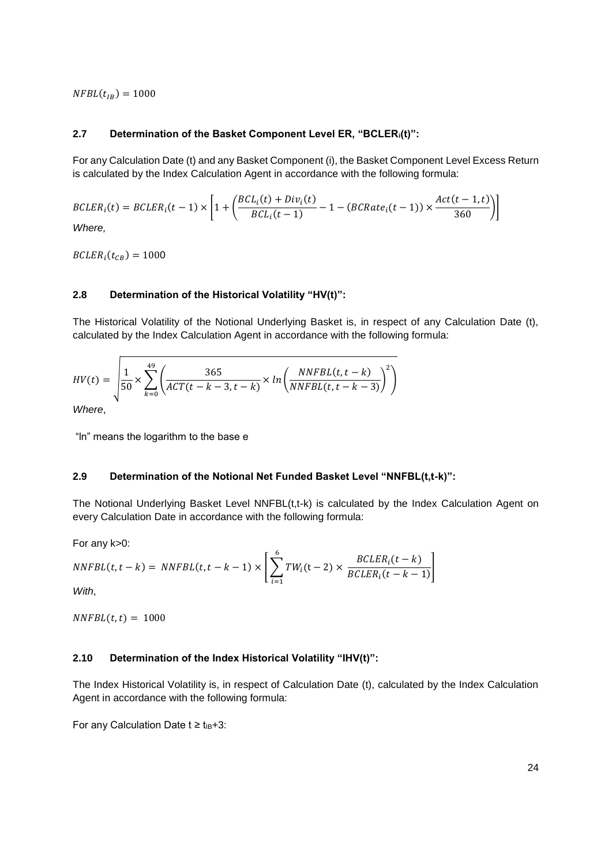$NFBL(t_{IB}) = 1000$ 

#### **2.7 Determination of the Basket Component Level ER, "BCLERi(t)":**

For any Calculation Date (t) and any Basket Component (i), the Basket Component Level Excess Return is calculated by the Index Calculation Agent in accordance with the following formula:

$$
BCLER_i(t) = BCLER_i(t-1) \times \left[1 + \left(\frac{BCL_i(t) + Div_i(t)}{BCL_i(t-1)} - 1 - (BCRate_i(t-1)) \times \frac{Act(t-1,t)}{360}\right)\right]
$$

*Where,*

 $BCLER_i(t_{CB}) = 1000$ 

#### **2.8 Determination of the Historical Volatility "HV(t)":**

The Historical Volatility of the Notional Underlying Basket is, in respect of any Calculation Date (t), calculated by the Index Calculation Agent in accordance with the following formula:

$$
HV(t) = \sqrt{\frac{1}{50} \times \sum_{k=0}^{49} \left( \frac{365}{ACT(t-k-3,t-k)} \times ln \left( \frac{NNFBL(t,t-k)}{NNFBL(t,t-k-3)} \right)^2 \right)}
$$

*Where*,

"ln" means the logarithm to the base e

#### **2.9 Determination of the Notional Net Funded Basket Level "NNFBL(t,t-k)":**

The Notional Underlying Basket Level NNFBL(t,t-k) is calculated by the Index Calculation Agent on every Calculation Date in accordance with the following formula:

For any k>0:

$$
NNFBL(t, t - k) = NNFBL(t, t - k - 1) \times \left[ \sum_{i=1}^{6} TW_i(t - 2) \times \frac{BCLER_i(t - k)}{BCLER_i(t - k - 1)} \right]
$$

*With*,

 $NNFBL(t, t) = 1000$ 

## **2.10 Determination of the Index Historical Volatility "IHV(t)":**

The Index Historical Volatility is, in respect of Calculation Date (t), calculated by the Index Calculation Agent in accordance with the following formula:

For any Calculation Date  $t \ge t_{IB}+3$ :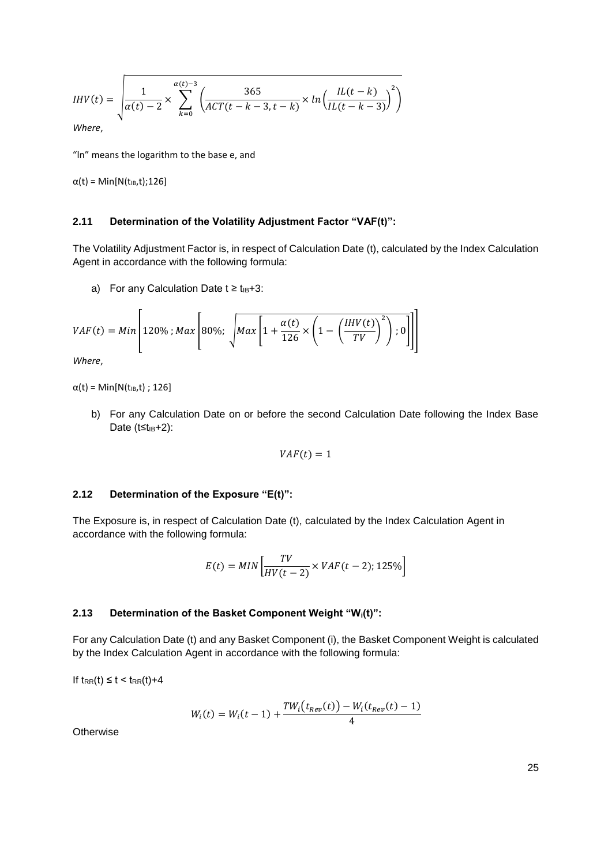*IHV(t)* = 
$$
\sqrt{\frac{1}{\alpha(t) - 2} \times \sum_{k=0}^{\alpha(t) - 3} \left( \frac{365}{ACT(t - k - 3, t - k)} \times ln \left( \frac{IL(t - k)}{IL(t - k - 3)} \right)^2 \right)}
$$
  
Where,

"ln" means the logarithm to the base e, and

 $α(t) = Min[N(t_{IB},t);126]$ 

#### **2.11 Determination of the Volatility Adjustment Factor "VAF(t)":**

The Volatility Adjustment Factor is, in respect of Calculation Date (t), calculated by the Index Calculation Agent in accordance with the following formula:

a) For any Calculation Date  $t \ge t_{IB}+3$ :

$$
VAF(t) = Min \left[ 120\% \; ; Max \left[ 80\%; \; \sqrt{Max \left[ 1 + \frac{\alpha(t)}{126} \times \left( 1 - \left( \frac{IHV(t)}{TV} \right)^2 \right) ; 0 \right]} \right] \right]
$$

*Where*,

 $α(t) = Min[N(t<sub>IB</sub>,t); 126]$ 

b) For any Calculation Date on or before the second Calculation Date following the Index Base Date  $(t \leq t_{IB} + 2)$ :

$$
VAF(t) = 1
$$

#### **2.12 Determination of the Exposure "E(t)":**

The Exposure is, in respect of Calculation Date (t), calculated by the Index Calculation Agent in accordance with the following formula:

$$
E(t) = MIN\left[\frac{TV}{HV(t-2)} \times VAF(t-2); 125\% \right]
$$

#### **2.13 Determination of the Basket Component Weight "Wi(t)":**

For any Calculation Date (t) and any Basket Component (i), the Basket Component Weight is calculated by the Index Calculation Agent in accordance with the following formula:

If  $t_{RR}(t) \leq t \leq t_{RR}(t) + 4$ 

$$
W_i(t) = W_i(t-1) + \frac{TW_i(t_{Rev}(t)) - W_i(t_{Rev}(t) - 1)}{4}
$$

**Otherwise**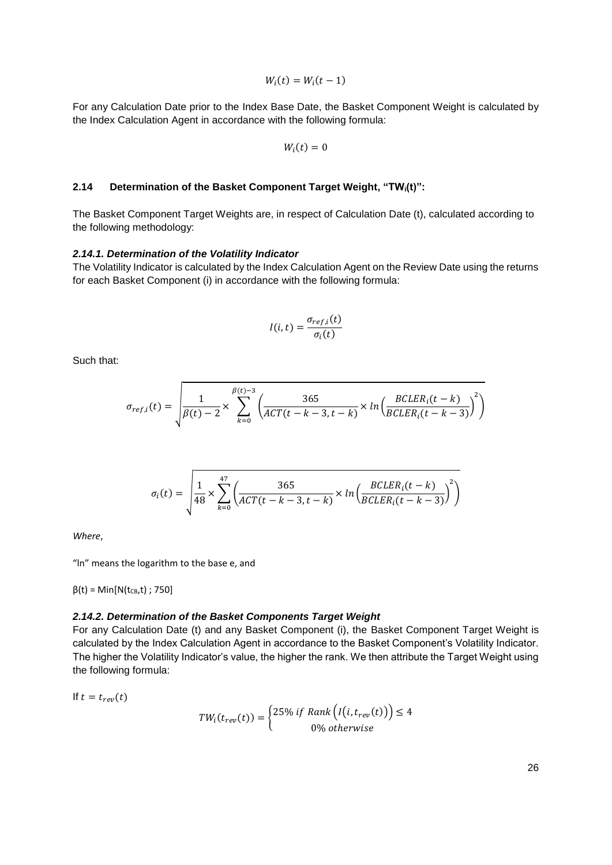$$
W_i(t) = W_i(t-1)
$$

For any Calculation Date prior to the Index Base Date, the Basket Component Weight is calculated by the Index Calculation Agent in accordance with the following formula:

$$
W_i(t)=0
$$

#### **2.14 Determination of the Basket Component Target Weight, "TWi(t)":**

The Basket Component Target Weights are, in respect of Calculation Date (t), calculated according to the following methodology:

#### *2.14.1. Determination of the Volatility Indicator*

The Volatility Indicator is calculated by the Index Calculation Agent on the Review Date using the returns for each Basket Component (i) in accordance with the following formula:

$$
I(i,t) = \frac{\sigma_{ref,i}(t)}{\sigma_i(t)}
$$

Such that:

$$
\sigma_{ref,i}(t) = \sqrt{\frac{1}{\beta(t) - 2} \times \sum_{k=0}^{\beta(t) - 3} \left( \frac{365}{ACT(t - k - 3, t - k)} \times \ln \left( \frac{BCLER_i(t - k)}{BCLER_i(t - k - 3)} \right)^2 \right)}
$$

$$
\sigma_i(t) = \sqrt{\frac{1}{48} \times \sum_{k=0}^{47} \left( \frac{365}{ACT(t-k-3,t-k)} \times \ln \left( \frac{BCLER_i(t-k)}{BCLER_i(t-k-3)} \right)^2 \right)}
$$

*Where*,

"ln" means the logarithm to the base e, and

 $β(t) = Min[N(t_{CB}, t) ; 750]$ 

#### *2.14.2. Determination of the Basket Components Target Weight*

For any Calculation Date (t) and any Basket Component (i), the Basket Component Target Weight is calculated by the Index Calculation Agent in accordance to the Basket Component's Volatility Indicator. The higher the Volatility Indicator's value, the higher the rank. We then attribute the Target Weight using the following formula:

If  $t = t_{ren}(t)$ 

$$
TW_i(t_{rev}(t)) = \begin{cases} 25\% \ if \ Rank\left(I(i, t_{rev}(t)\right) \leq 4\\ 0\% \ otherwise \end{cases}
$$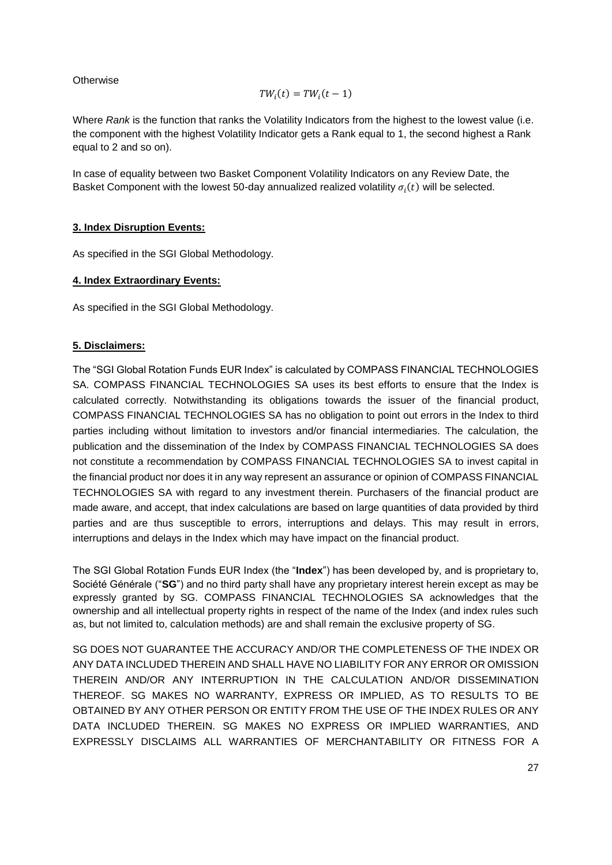## **Otherwise**

$$
TW_i(t) = TW_i(t-1)
$$

Where *Rank* is the function that ranks the Volatility Indicators from the highest to the lowest value (i.e. the component with the highest Volatility Indicator gets a Rank equal to 1, the second highest a Rank equal to 2 and so on).

In case of equality between two Basket Component Volatility Indicators on any Review Date, the Basket Component with the lowest 50-day annualized realized volatility  $\sigma_i(t)$  will be selected.

### **3. Index Disruption Events:**

As specified in the SGI Global Methodology.

### **4. Index Extraordinary Events:**

As specified in the SGI Global Methodology.

## **5. Disclaimers:**

The "SGI Global Rotation Funds EUR Index" is calculated by COMPASS FINANCIAL TECHNOLOGIES SA. COMPASS FINANCIAL TECHNOLOGIES SA uses its best efforts to ensure that the Index is calculated correctly. Notwithstanding its obligations towards the issuer of the financial product, COMPASS FINANCIAL TECHNOLOGIES SA has no obligation to point out errors in the Index to third parties including without limitation to investors and/or financial intermediaries. The calculation, the publication and the dissemination of the Index by COMPASS FINANCIAL TECHNOLOGIES SA does not constitute a recommendation by COMPASS FINANCIAL TECHNOLOGIES SA to invest capital in the financial product nor does it in any way represent an assurance or opinion of COMPASS FINANCIAL TECHNOLOGIES SA with regard to any investment therein. Purchasers of the financial product are made aware, and accept, that index calculations are based on large quantities of data provided by third parties and are thus susceptible to errors, interruptions and delays. This may result in errors, interruptions and delays in the Index which may have impact on the financial product.

The SGI Global Rotation Funds EUR Index (the "**Index**") has been developed by, and is proprietary to, Société Générale ("**SG**") and no third party shall have any proprietary interest herein except as may be expressly granted by SG. COMPASS FINANCIAL TECHNOLOGIES SA acknowledges that the ownership and all intellectual property rights in respect of the name of the Index (and index rules such as, but not limited to, calculation methods) are and shall remain the exclusive property of SG.

SG DOES NOT GUARANTEE THE ACCURACY AND/OR THE COMPLETENESS OF THE INDEX OR ANY DATA INCLUDED THEREIN AND SHALL HAVE NO LIABILITY FOR ANY ERROR OR OMISSION THEREIN AND/OR ANY INTERRUPTION IN THE CALCULATION AND/OR DISSEMINATION THEREOF. SG MAKES NO WARRANTY, EXPRESS OR IMPLIED, AS TO RESULTS TO BE OBTAINED BY ANY OTHER PERSON OR ENTITY FROM THE USE OF THE INDEX RULES OR ANY DATA INCLUDED THEREIN. SG MAKES NO EXPRESS OR IMPLIED WARRANTIES, AND EXPRESSLY DISCLAIMS ALL WARRANTIES OF MERCHANTABILITY OR FITNESS FOR A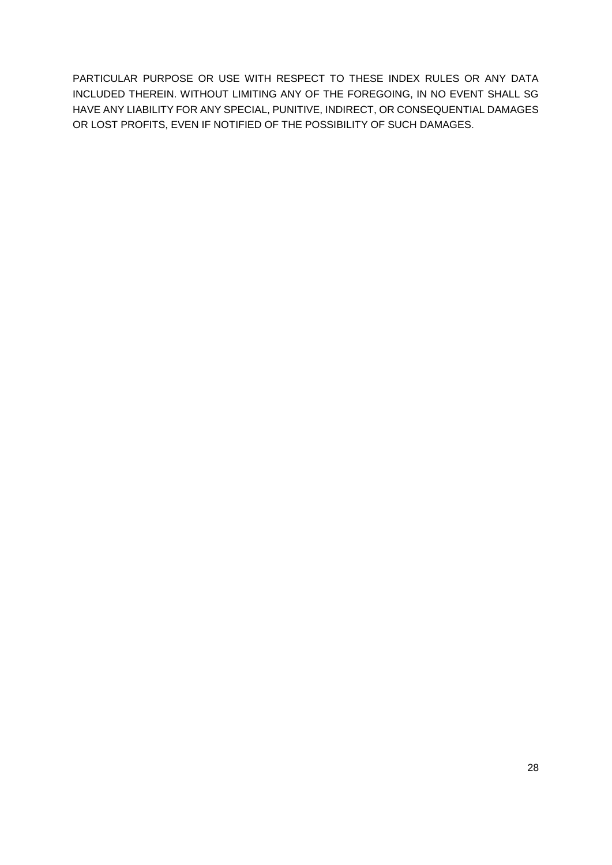PARTICULAR PURPOSE OR USE WITH RESPECT TO THESE INDEX RULES OR ANY DATA INCLUDED THEREIN. WITHOUT LIMITING ANY OF THE FOREGOING, IN NO EVENT SHALL SG HAVE ANY LIABILITY FOR ANY SPECIAL, PUNITIVE, INDIRECT, OR CONSEQUENTIAL DAMAGES OR LOST PROFITS, EVEN IF NOTIFIED OF THE POSSIBILITY OF SUCH DAMAGES.